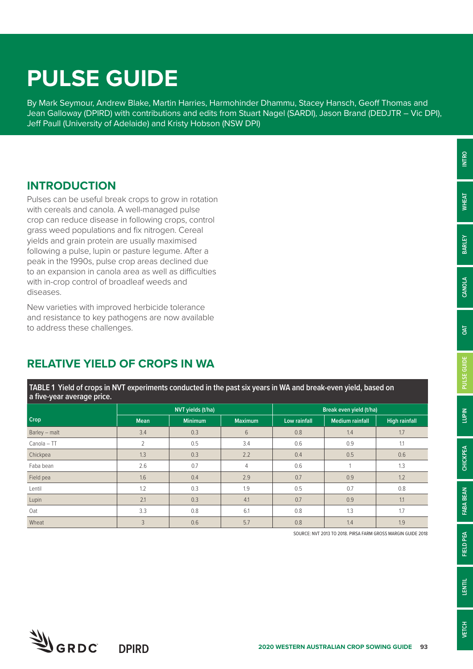# **PULSE GUIDE**

By Mark Seymour, Andrew Blake, Martin Harries, Harmohinder Dhammu, Stacey Hansch, Geoff Thomas and Jean Galloway (DPIRD) with contributions and edits from Stuart Nagel (SARDI), Jason Brand (DEDJTR – Vic DPI), Jeff Paull (University of Adelaide) and Kristy Hobson (NSW DPI)

## **INTRODUCTION**

Pulses can be useful break crops to grow in rotation with cereals and canola. A well-managed pulse crop can reduce disease in following crops, control grass weed populations and fix nitrogen. Cereal yields and grain protein are usually maximised following a pulse, lupin or pasture legume. After a peak in the 1990s, pulse crop areas declined due to an expansion in canola area as well as difficulties with in-crop control of broadleaf weeds and diseases.

New varieties with improved herbicide tolerance and resistance to key pathogens are now available to address these challenges.

# **RELATIVE YIELD OF CROPS IN WA**

**TABLE 1 Yield of crops in NVT experiments conducted in the past six years in WA and break-even yield, based on a five-year average price.**

|               |                          | NVT yields (t/ha) |                | Break even yield (t/ha) |                        |                      |
|---------------|--------------------------|-------------------|----------------|-------------------------|------------------------|----------------------|
| <b>Crop</b>   | <b>Mean</b>              | <b>Minimum</b>    | <b>Maximum</b> | Low rainfall            | <b>Medium rainfall</b> | <b>High rainfall</b> |
| Barley - malt | 3.4                      | 0.3               | 6              | 0.8                     | 1.4                    | 1.7                  |
| $Canola - TT$ | $\overline{\phantom{a}}$ | 0.5               | 3.4            | 0.6                     | 0.9                    | 1.1                  |
| Chickpea      | 1.3                      | 0.3               | 2.2            | 0.4                     | 0.5                    | 0.6                  |
| Faba bean     | 2.6                      | 0.7               | $\overline{4}$ | 0.6                     |                        | 1.3                  |
| Field pea     | 1.6                      | 0.4               | 2.9            | 0.7                     | 0.9                    | 1.2                  |
| Lentil        | 1.2                      | 0.3               | 1.9            | 0.5                     | 0.7                    | 0.8                  |
| Lupin         | 2.1                      | 0.3               | 4.1            | 0.7                     | 0.9                    | 1.1                  |
| Oat           | 3.3                      | 0.8               | 6.1            | 0.8                     | 1.3                    | 1.7                  |
| Wheat         | 3                        | 0.6               | 5.7            | 0.8                     | 1.4                    | 1.9                  |

SOURCE: NVT 2013 TO 2018. PIRSA FARM GROSS MARGIN GUIDE 2018

**LUPIN**

**FABA BEAN**

FABA BEAN

**VETCH**

**FIELD PEA**

**FIELD PEA** 

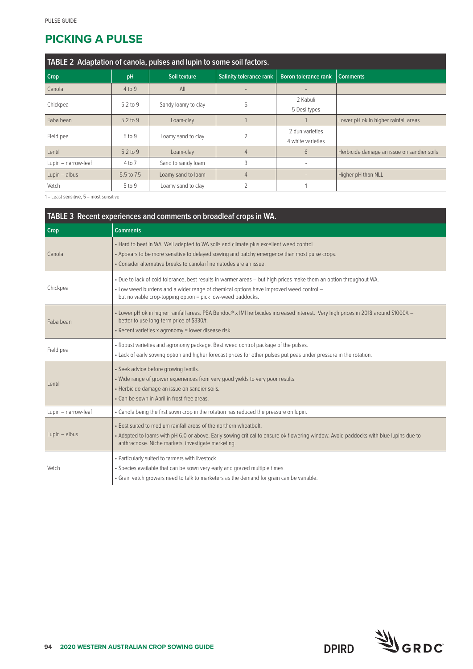# **PICKING A PULSE**

| TABLE 2 Adaptation of canola, pulses and lupin to some soil factors. |            |                     |                                |                             |                                            |  |  |  |  |  |
|----------------------------------------------------------------------|------------|---------------------|--------------------------------|-----------------------------|--------------------------------------------|--|--|--|--|--|
| Crop                                                                 | pH         | Soil texture        | <b>Salinity tolerance rank</b> | <b>Boron tolerance rank</b> | <b>Comments</b>                            |  |  |  |  |  |
| Canola                                                               | 4 to 9     | All                 |                                |                             |                                            |  |  |  |  |  |
|                                                                      | $5.2$ to 9 |                     |                                | 2 Kabuli                    |                                            |  |  |  |  |  |
| Chickpea                                                             |            | Sandy loamy to clay | 5<br>5 Desi types              |                             |                                            |  |  |  |  |  |
| Faba bean                                                            | 5.2 to 9   | Loam-clay           |                                |                             | Lower pH ok in higher rainfall areas       |  |  |  |  |  |
| Field pea                                                            | 5 to 9     | Loamy sand to clay  | $\overline{\mathcal{L}}$       | 2 dun varieties             |                                            |  |  |  |  |  |
|                                                                      |            |                     |                                | 4 white varieties           |                                            |  |  |  |  |  |
| Lentil                                                               | 5.2 to 9   | Loam-clay           | $\overline{4}$                 | 6                           | Herbicide damage an issue on sandier soils |  |  |  |  |  |
| Lupin - narrow-leaf                                                  | 4 to 7     | Sand to sandy loam  | 3                              | $\overline{\phantom{a}}$    |                                            |  |  |  |  |  |
| $Lupin - albus$                                                      | 5.5 to 7.5 | Loamy sand to loam  | 4                              |                             | Higher pH than NLL                         |  |  |  |  |  |
| Vetch                                                                | 5 to 9     | Loamy sand to clay  | $\overline{\mathcal{X}}$       |                             |                                            |  |  |  |  |  |

1 = Least sensitive, 5 = most sensitive

|                     | TABLE 3 Recent experiences and comments on broadleaf crops in WA.                                                                                                                                                                                                          |  |  |  |  |  |  |  |
|---------------------|----------------------------------------------------------------------------------------------------------------------------------------------------------------------------------------------------------------------------------------------------------------------------|--|--|--|--|--|--|--|
| Crop                | <b>Comments</b>                                                                                                                                                                                                                                                            |  |  |  |  |  |  |  |
| Canola              | • Hard to beat in WA. Well adapted to WA soils and climate plus excellent weed control.<br>• Appears to be more sensitive to delayed sowing and patchy emergence than most pulse crops.<br>• Consider alternative breaks to canola if nematodes are an issue.              |  |  |  |  |  |  |  |
| Chickpea            | - Due to lack of cold tolerance, best results in warmer areas - but high prices make them an option throughout WA.<br>- Low weed burdens and a wider range of chemical options have improved weed control -<br>but no viable crop-topping option = pick low-weed paddocks. |  |  |  |  |  |  |  |
| Faba bean           | • Lower pH ok in higher rainfall areas. PBA Bendoc <sup>®</sup> x IMI herbicides increased interest. Very high prices in 2018 around \$1000/t -<br>better to use long-term price of \$330/t.<br>• Recent varieties x agronomy = lower disease risk.                        |  |  |  |  |  |  |  |
| Field pea           | • Robust varieties and agronomy package. Best weed control package of the pulses.<br>• Lack of early sowing option and higher forecast prices for other pulses put peas under pressure in the rotation.                                                                    |  |  |  |  |  |  |  |
| Lentil              | • Seek advice before growing lentils.<br>. Wide range of grower experiences from very good yields to very poor results.<br>· Herbicide damage an issue on sandier soils.<br>• Can be sown in April in frost-free areas.                                                    |  |  |  |  |  |  |  |
| Lupin - narrow-leaf | • Canola being the first sown crop in the rotation has reduced the pressure on lupin.                                                                                                                                                                                      |  |  |  |  |  |  |  |
| Lupin $-$ albus     | . Best suited to medium rainfall areas of the northern wheatbelt.<br>• Adapted to loams with pH 6.0 or above. Early sowing critical to ensure ok flowering window. Avoid paddocks with blue lupins due to<br>anthracnose. Niche markets, investigate marketing.            |  |  |  |  |  |  |  |
| Vetch               | • Particularly suited to farmers with livestock.<br>• Species available that can be sown very early and grazed multiple times.<br>• Grain vetch growers need to talk to marketers as the demand for grain can be variable.                                                 |  |  |  |  |  |  |  |

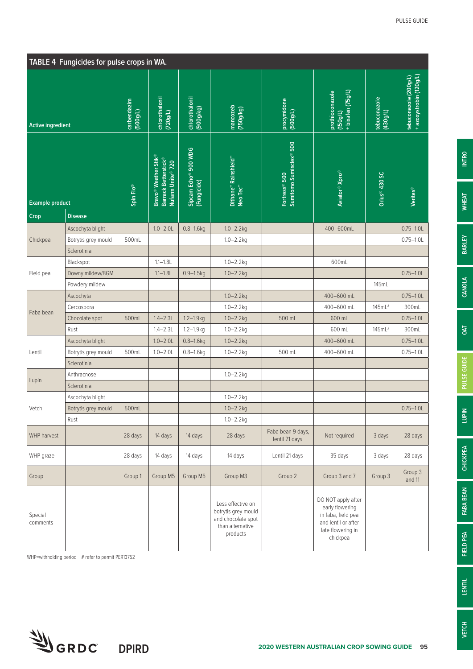|                          | TABLE 4 Fungicides for pulse crops in WA.              |                         |                                                                                                            |                                                    |                                                                                                |                                                                  |                                                                                                                     |                           |                                                    |
|--------------------------|--------------------------------------------------------|-------------------------|------------------------------------------------------------------------------------------------------------|----------------------------------------------------|------------------------------------------------------------------------------------------------|------------------------------------------------------------------|---------------------------------------------------------------------------------------------------------------------|---------------------------|----------------------------------------------------|
| <b>Active ingredient</b> |                                                        | carbendazim<br>(500g/L) | chlorothalonil<br>(720g/L)                                                                                 | chlorothalonil<br>(5000)(60)                       | mancozeb<br>(250g/kg)                                                                          | procymidone<br>(500g/L)                                          | + bixafen (75g/L)<br>prothioconazole<br>(150g/L)                                                                    | tebuconazole<br>(430g/L)  | + azoxystrobin (120g/L)<br>tebuconazole (200g/L)   |
| <b>Example product</b>   |                                                        | Spin Flo®               | <b>Bravo<sup>®</sup> Weather Stik<sup>®</sup></b><br>Barrack Betterstick <sup>®</sup><br>Nufarm Unite® 720 | Sipcam Echo <sup>®</sup> 900 WDG<br>(Fungicide)    | Dithane" Rainshield"<br>Neo Tec"                                                               | Sumitomo Sumisclex <sup>®</sup> 500<br>Fortress <sup>®</sup> 500 | Aviator <sup>®</sup> Xpro®                                                                                          | Orius <sup>®</sup> 430 SC | <b>Veritas®</b>                                    |
| Crop                     | <b>Disease</b>                                         |                         |                                                                                                            |                                                    |                                                                                                |                                                                  |                                                                                                                     |                           |                                                    |
| Chickpea                 | Ascochyta blight<br>Botrytis grey mould<br>Sclerotinia | 500mL                   | $1.0 - 2.0$ L                                                                                              | $0.8 - 1.6$ kg                                     | $1.0 - 2.2$ kg<br>$1.0 - 2.2$ kg                                                               |                                                                  | 400-600mL                                                                                                           |                           | $0.75 - 1.0L$<br>$0.75 - 1.0$ L                    |
| Field pea                | Blackspot<br>Downy mildew/BGM<br>Powdery mildew        |                         | $1.1 - 1.8$ L<br>$1.1 - 1.8$ L                                                                             | $0.9 - 1.5$ kg                                     | $1.0 - 2.2$ kg<br>$1.0 - 2.2$ kg                                                               |                                                                  | 600mL                                                                                                               | 145mL                     | $0.75 - 1.0$ L                                     |
| Faba bean                | Ascochyta<br>Cercospora<br>Chocolate spot<br>Rust      | 500mL                   | $1.4 - 2.3L$<br>$1.4 - 2.3L$                                                                               | $1.2 - 1.9$ kg                                     | $1.0 - 2.2$ kg<br>$1.0 - 2.2$ kg<br>$1.0 - 2.2$ kg                                             | 500 mL                                                           | 400-600 mL<br>400-600 mL<br>600 mL<br>600 mL                                                                        | $145mL$ #<br>$145mL$ #    | $0.75 - 1.0$ L<br>300mL<br>$0.75 - 1.0$ L<br>300mL |
| Lentil                   | Ascochyta blight<br>Botrytis grey mould<br>Sclerotinia | 500mL                   | $1.0 - 2.01$<br>$1.0 - 2.0$ L                                                                              | $1.2 - 1.9$ kg<br>$0.8 - 1.6$ kg<br>$0.8 - 1.6$ kg | $1.0 - 2.2$ kg<br>$1.0 - 2.2$ kg<br>$1.0 - 2.2$ kg                                             | 500 mL                                                           | 400-600 mL<br>400-600 mL                                                                                            |                           | $0.75 - 1.0$ L<br>$0.75 - 1.0$ L                   |
| Lupin                    | Anthracnose<br>Sclerotinia                             |                         |                                                                                                            |                                                    | $1.0 - 2.2$ kg                                                                                 |                                                                  |                                                                                                                     |                           |                                                    |
| Vetch                    | Ascochyta blight<br>Botrytis grey mould<br>Rust        | 500mL                   |                                                                                                            |                                                    | $1.0 - 2.2$ kg<br>$1.0 - 2.2$ kg<br>$1.0 - 2.2$ kg                                             |                                                                  |                                                                                                                     |                           | $0.75 - 1.0$ L                                     |
| WHP harvest              |                                                        | 28 days                 | 14 days                                                                                                    | 14 days                                            | 28 days                                                                                        | Faba bean 9 days,<br>lentil 21 days                              | Not required                                                                                                        | 3 days                    | 28 days                                            |
| WHP graze                |                                                        | 28 days                 | 14 days                                                                                                    | 14 days                                            | 14 days                                                                                        | Lentil 21 days                                                   | 35 days                                                                                                             | 3 days                    | 28 days                                            |
| Group                    |                                                        | Group 1                 | Group M5                                                                                                   | Group M5                                           | Group M3                                                                                       | Group 2                                                          | Group 3 and 7                                                                                                       | Group 3                   | Group 3<br>and 11                                  |
| Special<br>comments      |                                                        |                         |                                                                                                            |                                                    | Less effective on<br>botrytis grey mould<br>and chocolate spot<br>than alternative<br>products |                                                                  | DO NOT apply after<br>early flowering<br>in faba, field pea<br>and lentil or after<br>late flowering in<br>chickpea |                           |                                                    |

WHP=withholding period # refer to permit PER13752

**UGRDC** DPIRD

| 2020 WESTERN AUSTRALIAN CROP SOWING GUIDE | - 95 |
|-------------------------------------------|------|
|                                           |      |

**LENTIL**

**CHICKPEA**

**CHICKPEA** 

**FABA BEAN**

**FABA BEAN** 

**INTRO**

**WHEAT**

**BARLEY**

**CANOLA**

**OAT**

**PULSE GUIDE**

**LUPIN**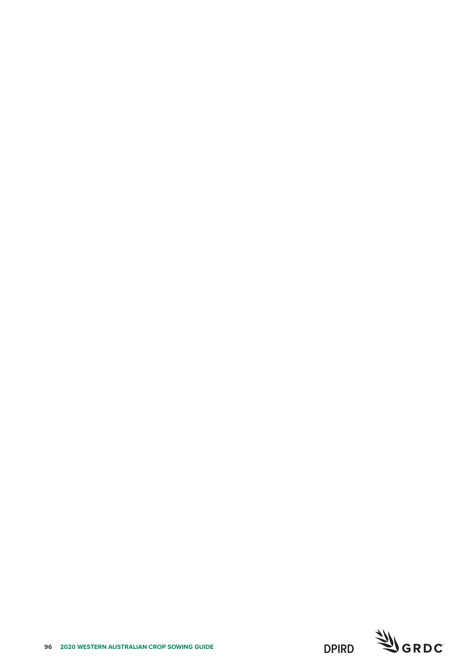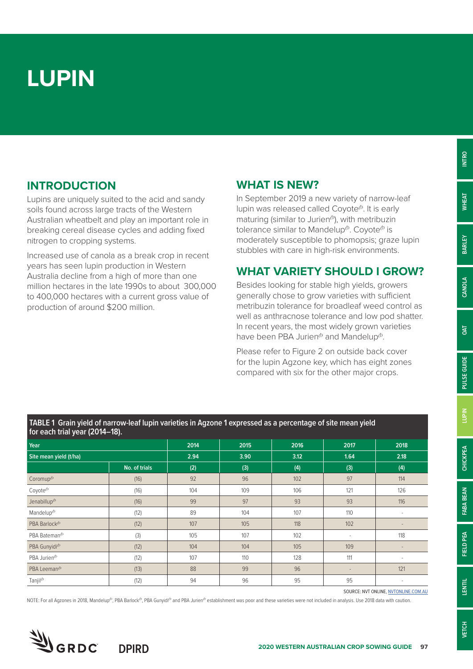# **LUPIN**

### **INTRODUCTION**

Lupins are uniquely suited to the acid and sandy soils found across large tracts of the Western Australian wheatbelt and play an important role in breaking cereal disease cycles and adding fixed nitrogen to cropping systems.

Increased use of canola as a break crop in recent years has seen lupin production in Western Australia decline from a high of more than one million hectares in the late 1990s to about 300,000 to 400,000 hectares with a current gross value of production of around \$200 million.

**DPIRD**

SIGRDC

## **WHAT IS NEW?**

In September 2019 a new variety of narrow-leaf lupin was released called  $Covote<sup>6</sup>$ . It is early maturing (similar to Jurien $\Phi$ ), with metribuzin tolerance similar to Mandelup $\Phi$ . Coyote $\Phi$  is moderately susceptible to phomopsis; graze lupin stubbles with care in high-risk environments.

## **WHAT VARIETY SHOULD I GROW?**

Besides looking for stable high yields, growers generally chose to grow varieties with sufficient metribuzin tolerance for broadleaf weed control as well as anthracnose tolerance and low pod shatter. In recent years, the most widely grown varieties have been PBA Jurien $\Phi$  and Mandelup $\Phi$ .

Please refer to Figure 2 on outside back cover for the lupin Agzone key, which has eight zones compared with six for the other major crops.

#### **TABLE 1 Grain yield of narrow-leaf lupin varieties in Agzone 1 expressed as a percentage of site mean yield for each trial year (2014–18).**

| Year                     |               | 2014 | 2015 | 2016 | 2017                     | 2018                     |
|--------------------------|---------------|------|------|------|--------------------------|--------------------------|
| Site mean yield (t/ha)   |               | 2.94 | 3.90 | 3.12 | 1.64                     | 2.18                     |
|                          | No. of trials | (2)  | (3)  | (4)  | (3)                      | (4)                      |
| Coromup <sup>(b</sup>    | (16)          | 92   | 96   | 102  | 97                       | 114                      |
| Coyote <sup>(b)</sup>    | (16)          | 104  | 109  | 106  | 121                      | 126                      |
| Jenabillup <sup>(b</sup> | (16)          | 99   | 97   | 93   | 93                       | 116                      |
| Mandelup <sup>(b</sup>   | (12)          | 89   | 104  | 107  | 110                      | $\overline{\phantom{a}}$ |
| PBA Barlock <sup>®</sup> | (12)          | 107  | 105  | 118  | 102                      | $\overline{\phantom{a}}$ |
| PBA Bateman <sup>®</sup> | (3)           | 105  | 107  | 102  | $\overline{\phantom{a}}$ | 118                      |
| PBA Gunyidi <sup>®</sup> | (12)          | 104  | 104  | 105  | 109                      | $\overline{\phantom{a}}$ |
| PBA Jurien <sup>®</sup>  | (12)          | 107  | 110  | 128  | 111                      | ٠                        |
| PBA Leeman <sup>®</sup>  | (13)          | 88   | 99   | 96   |                          | 121                      |
| Tanjil <sup>(b</sup>     | (12)          | 94   | 96   | 95   | 95                       | $\overline{\phantom{a}}$ |

SOURCE: NVT ONLINE, NVTONLINE COM ALL

NOTE: For all Agzones in 2018, Mandelup<sup>®</sup>, PBA Barlock<sup>®</sup>, PBA Gunyidi<sup>®</sup> and PBA Jurien<sup>®</sup> establishment was poor and these varieties were not included in analysis. Use 2018 data with caution.



**PULSE GUIDE**

**PULSE GUIDE** 

**CHICKPEA**

CHICKPEA

**FIELD PEA**

**FIELD PEA** 

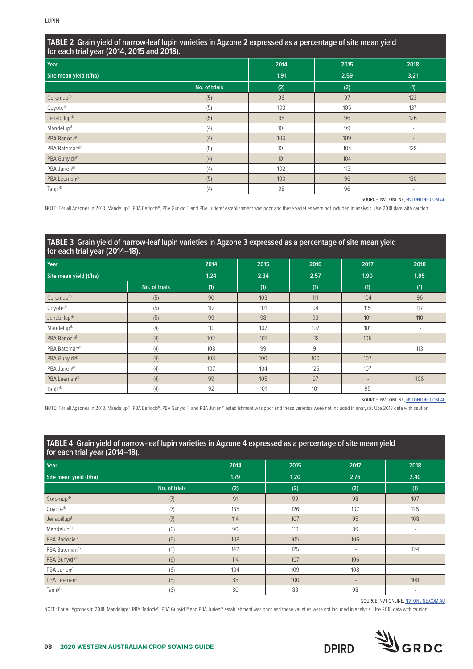#### **TABLE 2 Grain yield of narrow-leaf lupin varieties in Agzone 2 expressed as a percentage of site mean yield for each trial year (2014, 2015 and 2018).**

| Year                      | 2014          | 2015 | 2018 |                          |
|---------------------------|---------------|------|------|--------------------------|
| Site mean yield (t/ha)    |               | 1.91 | 2.59 | 3.21                     |
|                           | No. of trials | (2)  | (2)  | (1)                      |
| Coromup <sup>(b)</sup>    | (5)           | 96   | 97   | 123                      |
| Coyote <sup>(b)</sup>     | (5)           | 103  | 105  | 137                      |
| Jenabillup <sup>(b</sup>  | (5)           | 98   | 96   | 126                      |
| Mandelup <sup>(b</sup>    | (4)           | 101  | 99   | $\overline{\phantom{a}}$ |
| PBA Barlock <sup>(b</sup> | (4)           | 100  | 109  |                          |
| PBA Bateman <sup>(b</sup> | (5)           | 101  | 104  | 128                      |
| PBA Gunyidi <sup>(b</sup> | (4)           | 101  | 104  | $\overline{\phantom{a}}$ |
| PBA Jurien <sup>®</sup>   | (4)           | 102  | 113  | $\overline{\phantom{a}}$ |
| PBA Leeman <sup>®</sup>   | (5)           | 100  | 96   | 130                      |
| Tanjil <sup>(b</sup>      | (4)           | 98   | 96   | ٠                        |

SOURCE: NVT ONLINE, [NVTONLINE.COM.AU](http://nvtonline.com.au)

NOTE: For all Agzones in 2018, Mandelup<sup>o,</sup>, PBA Barlock<sup>®</sup>, PBA Gunyidi<sup>®</sup> and PBA Jurien<sup>®</sup> establishment was poor and these varieties were not included in analysis. Use 2018 data with caution.

| TABLE 3 Grain yield of narrow-leaf lupin varieties in Agzone 3 expressed as a percentage of site mean yield<br>for each trial year (2014-18). |               |      |      |      |      |                          |  |  |  |
|-----------------------------------------------------------------------------------------------------------------------------------------------|---------------|------|------|------|------|--------------------------|--|--|--|
| Year                                                                                                                                          |               | 2014 | 2015 | 2016 | 2017 | 2018                     |  |  |  |
| Site mean yield (t/ha)                                                                                                                        |               | 1.24 | 2.34 | 2.57 | 1.90 | 1.95                     |  |  |  |
|                                                                                                                                               | No. of trials | (1)  | (1)  | (1)  | (1)  | (1)                      |  |  |  |
| Coromup <sup>(b</sup>                                                                                                                         | (5)           | 90   | 103  | 111  | 104  | 96                       |  |  |  |
| Covote <sup>(b)</sup>                                                                                                                         | (5)           | 112  | 101  | 94   | 115  | 117                      |  |  |  |
| Jenabillup <sup>(b</sup>                                                                                                                      | (5)           | 99   | 98   | 93   | 101  | 110                      |  |  |  |
| Mandelup <sup>®</sup>                                                                                                                         | (4)           | 110  | 107  | 107  | 101  | $\overline{\phantom{a}}$ |  |  |  |
| PBA Barlock <sup>(b</sup>                                                                                                                     | (4)           | 102  | 101  | 118  | 105  |                          |  |  |  |
| PBA Bateman <sup>®</sup>                                                                                                                      | (4)           | 108  | 99   | 91   | ٠    | 113                      |  |  |  |
| PBA Gunyidi <sup>(b</sup>                                                                                                                     | (4)           | 103  | 100  | 100  | 107  |                          |  |  |  |
| PBA Jurien <sup>®</sup>                                                                                                                       | (4)           | 107  | 104  | 126  | 107  |                          |  |  |  |
| PBA Leeman <sup>®</sup>                                                                                                                       | (4)           | 99   | 105  | 97   |      | 106                      |  |  |  |
| Tanjil <sup>(b</sup>                                                                                                                          | (4)           | 92   | 101  | 101  | 95   |                          |  |  |  |

SOURCE: NVT ONLINE, [NVTONLINE.COM.AU](http://nvtonline.com.au)

NOTE: For all Agzones in 2018, Mandelup<sup>6</sup>, PBA Barlock<sup>6</sup>, PBA Gunyidi<sup>6</sup> and PBA Jurien<sup>®</sup> establishment was poor and these varieties were not included in analysis. Use 2018 data with caution.

| TABLE 4 Grain yield of narrow-leaf lupin varieties in Agzone 4 expressed as a percentage of site mean yield<br>for each trial year (2014-18). |               |      |      |      |      |  |  |  |  |  |
|-----------------------------------------------------------------------------------------------------------------------------------------------|---------------|------|------|------|------|--|--|--|--|--|
| Year                                                                                                                                          |               | 2014 | 2015 | 2017 | 2018 |  |  |  |  |  |
| Site mean yield (t/ha)                                                                                                                        |               | 1.79 | 1.20 | 2.76 | 2.40 |  |  |  |  |  |
|                                                                                                                                               | No. of trials | (2)  | (2)  | (2)  | (1)  |  |  |  |  |  |
| Coromup <sup>(b)</sup>                                                                                                                        | (7)           | 91   | 99   | 98   | 107  |  |  |  |  |  |
| Coyote <sup>(b)</sup>                                                                                                                         | (7)           | 135  | 126  | 107  | 125  |  |  |  |  |  |
| Jenabillup <sup>®</sup>                                                                                                                       | (7)           | 114  | 107  | 95   | 108  |  |  |  |  |  |
| Mandelup <sup>(b</sup>                                                                                                                        | (6)           | 90   | 113  | 89   | ٠    |  |  |  |  |  |
| PBA Barlock <sup>(b</sup>                                                                                                                     | (6)           | 108  | 105  | 106  |      |  |  |  |  |  |
| PBA Bateman <sup>®</sup>                                                                                                                      | (5)           | 142  | 125  |      | 124  |  |  |  |  |  |
| PBA Gunyidi <sup>®</sup>                                                                                                                      | (6)           | 114  | 107  | 106  |      |  |  |  |  |  |
| PBA Jurien <sup>®</sup>                                                                                                                       | (6)           | 104  | 109  | 108  |      |  |  |  |  |  |
| PBA Leeman <sup>®</sup>                                                                                                                       | (5)           | 85   | 100  |      | 108  |  |  |  |  |  |
| Tanjil <sup>(b</sup>                                                                                                                          | (6)           | 80   | 88   | 98   | ٠    |  |  |  |  |  |

SOURCE: NVT ONLINE, [NVTONLINE.COM.AU](http://nvtonline.com.au)

NOTE: For all Agzones in 2018, Mandelup<sup>to</sup>, PBA Barlock<sup>4</sup>, PBA Gunyidi<sup>th</sup> and PBA Jurien<sup>th</sup> establishment was poor and these varieties were not included in analysis. Use 2018 data with caution.

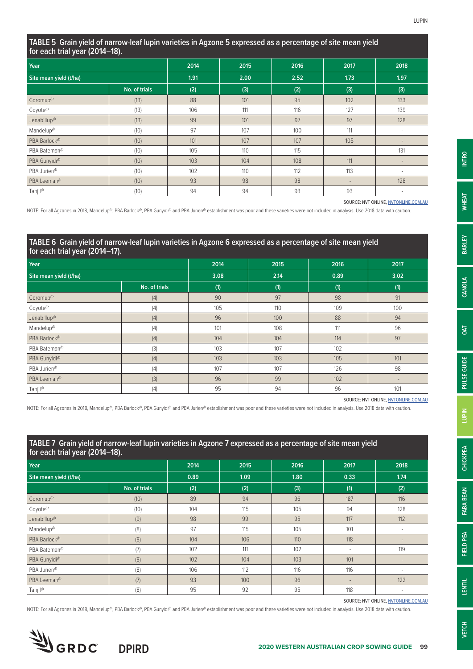| Year                       |               | 2014 | 2015 | 2016 | 2017                     | 2018                     |
|----------------------------|---------------|------|------|------|--------------------------|--------------------------|
| Site mean yield (t/ha)     |               | 1.91 | 2.00 | 2.52 | 1.73                     | 1.97                     |
|                            | No. of trials | (2)  | (3)  | (2)  | (3)                      | (3)                      |
| Coromup <sup>(b</sup>      | (13)          | 88   | 101  | 95   | 102                      | 133                      |
| Coyote <sup>(b)</sup>      | (13)          | 106  | 111  | 116  | 127                      | 139                      |
| Jenabillup <sup>(b</sup>   | (13)          | 99   | 101  | 97   | 97                       | 128                      |
| Mandelup <sup>(b</sup>     | (10)          | 97   | 107  | 100  | 111                      | $\sim$                   |
| PBA Barlock <sup>(b)</sup> | (10)          | 101  | 107  | 107  | 105                      |                          |
| PBA Bateman <sup>®</sup>   | (10)          | 105  | 110  | 115  | $\sim$                   | 131                      |
| PBA Gunyidi <sup>®</sup>   | (10)          | 103  | 104  | 108  | 111                      | $\overline{\phantom{a}}$ |
| PBA Jurien <sup>®</sup>    | (10)          | 102  | 110  | 112  | 113                      | $\overline{\phantom{a}}$ |
| PBA Leeman <sup>®</sup>    | (10)          | 93   | 98   | 98   | $\overline{\phantom{a}}$ | 128                      |
| Tanjil <sup>(b</sup>       | (10)          | 94   | 94   | 93   | 93                       | $\overline{\phantom{a}}$ |

SOURCE: NVT ONLINE, [NVTONLINE.COM.AU](http://nvtonline.com.au)

NOTE: For all Agzones in 2018, Mandelup<sup>o,</sup>, PBA Barlock<sup>o</sup>, PBA Gunyidi<sup>o</sup> and PBA Jurien<sup>to</sup> establishment was poor and these varieties were not included in analysis. Use 2018 data with caution.

#### **TABLE 6 Grain yield of narrow-leaf lupin varieties in Agzone 6 expressed as a percentage of site mean yield for each trial year (2014–17).**

| Year                       |               | 2014 | 2015 | 2016 | 2017                     |
|----------------------------|---------------|------|------|------|--------------------------|
| Site mean yield (t/ha)     |               | 3.08 | 2.14 | 0.89 | 3.02                     |
|                            | No. of trials | (1)  | (1)  | (1)  | (1)                      |
| Coromup <sup>(b</sup>      | (4)           | 90   | 97   | 98   | 91                       |
| Coyote <sup>(b)</sup>      | (4)           | 105  | 110  | 109  | 100                      |
| Jenabillup <sup>(b</sup>   | (4)           | 96   | 100  | 88   | 94                       |
| Mandelup <sup>(b</sup>     | (4)           | 101  | 108  | 111  | 96                       |
| PBA Barlock <sup>(b)</sup> | (4)           | 104  | 104  | 114  | 97                       |
| PBA Bateman <sup>®</sup>   | (3)           | 103  | 107  | 102  | $\sim$                   |
| PBA Gunyidi <sup>®</sup>   | (4)           | 103  | 103  | 105  | 101                      |
| PBA Jurien <sup>®</sup>    | (4)           | 107  | 107  | 126  | 98                       |
| PBA Leeman <sup>®</sup>    | (3)           | 96   | 99   | 102  | $\overline{\phantom{a}}$ |
| Tanjil <sup>(b</sup>       | (4)           | 95   | 94   | 96   | 101                      |

SOURCE: NVT ONLINE, [NVTONLINE.COM.AU](http://nvtonline.com.au)

NOTE: For all Agzones in 2018, Mandelup<sup>o</sup>, PBA Barlock<sup>+</sup>, PBA Gunyidi<sup>®</sup> and PBA Jurien<sup>®</sup> establishment was poor and these varieties were not included in analysis. Use 2018 data with caution.

| TABLE 7 Grain yield of narrow-leaf lupin varieties in Agzone 7 expressed as a percentage of site mean yield<br>for each trial year (2014-18). |               |      |      |      |                          |      |  |  |  |  |
|-----------------------------------------------------------------------------------------------------------------------------------------------|---------------|------|------|------|--------------------------|------|--|--|--|--|
| Year                                                                                                                                          |               | 2014 | 2015 | 2016 | 2017                     | 2018 |  |  |  |  |
| Site mean yield (t/ha)                                                                                                                        |               | 0.89 | 1.09 | 1.80 | 0.33                     | 1.74 |  |  |  |  |
|                                                                                                                                               | No. of trials | (2)  | (2)  | (3)  | (1)                      | (2)  |  |  |  |  |
| Coromup $\Phi$                                                                                                                                | (10)          | 89   | 94   | 96   | 187                      | 116  |  |  |  |  |
| Covote <sup>(b</sup>                                                                                                                          | (10)          | 104  | 115  | 105  | 94                       | 128  |  |  |  |  |
| Jenabillup <sup>(b</sup>                                                                                                                      | (9)           | 98   | 99   | 95   | 117                      | 112  |  |  |  |  |
| Mandelup <sup>(b</sup>                                                                                                                        | (8)           | 97   | 115  | 105  | 101                      |      |  |  |  |  |
| PBA Barlock <sup>(b)</sup>                                                                                                                    | (8)           | 104  | 106  | 110  | 118                      |      |  |  |  |  |
| PBA Bateman <sup>®</sup>                                                                                                                      | (7)           | 102  | 111  | 102  | $\overline{\phantom{a}}$ | 119  |  |  |  |  |
| PBA Gunyidi <sup>®</sup>                                                                                                                      | (8)           | 102  | 104  | 103  | 101                      |      |  |  |  |  |
| PBA Jurien <sup>®</sup>                                                                                                                       | (8)           | 106  | 112  | 116  | 116                      |      |  |  |  |  |
| PBA Leeman <sup>®</sup>                                                                                                                       | (7)           | 93   | 100  | 96   |                          | 122  |  |  |  |  |

SOURCE: NVT ONLINE, [NVTONLINE.COM.AU](http://nvtonline.com.au)

NOTE: For all Agzones in 2018, Mandelup<sup>o</sup>, PBA Barlock<sup>+</sup>, PBA Gunyidi<sup>th</sup> and PBA Jurien<sup>th</sup> establishment was poor and these varieties were not included in analysis. Use 2018 data with caution.

Tanjil<sup>A</sup> (8) 95 92 95 118 -

**DPIRD**

SIGRDC

**INTRO**

**WHEAT**

**BARLEY**

**CANOLA**

**OAT**

**PULSE GUIDE**

PULSE GUIDE

**LUPIN**

**CHICKPEA**

CHICKPEA

**FABA BEAN**

FABA BEAN

**FIELD PEA**

**FIELD PEA**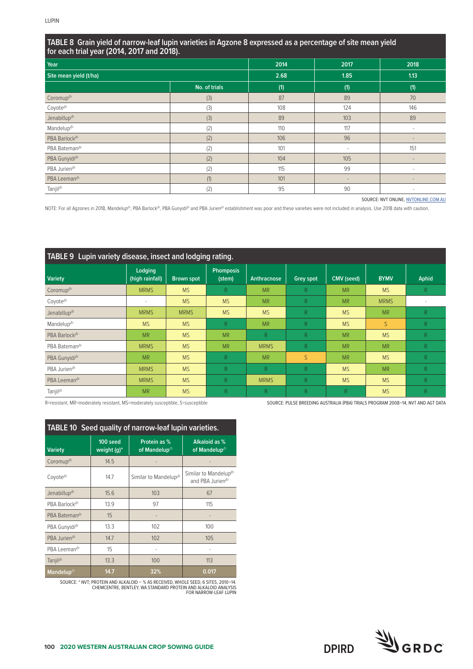#### **TABLE 8 Grain yield of narrow-leaf lupin varieties in Agzone 8 expressed as a percentage of site mean yield for each trial year (2014, 2017 and 2018).**

| $\sim$ $\sim$ $\sim$      | . .           |      |                          |                          |
|---------------------------|---------------|------|--------------------------|--------------------------|
| Year                      |               | 2014 | 2017                     | 2018                     |
| Site mean yield (t/ha)    |               | 2.68 | 1.85                     | 1.13                     |
|                           | No. of trials | (1)  | (1)                      | (1)                      |
| Coromup <sup>(b)</sup>    | (3)           | 87   | 89                       | 70                       |
| Coyote <sup>(b)</sup>     | (3)           | 108  | 124                      | 146                      |
| Jenabillup <sup>(b</sup>  | (3)           | 89   | 103                      | 89                       |
| Mandelup <sup>(b</sup>    | (2)           | 110  | 117                      | $\overline{\phantom{a}}$ |
| PBA Barlock <sup>(b</sup> | (2)           | 106  | 96                       |                          |
| PBA Bateman <sup>(b</sup> | (2)           | 101  | $\overline{\phantom{a}}$ | 151                      |
| PBA Gunyidi <sup>(b</sup> | (2)           | 104  | 105                      | $\overline{\phantom{a}}$ |
| PBA Jurien <sup>®</sup>   | (2)           | 115  | 99                       | ٠                        |
| PBA Leeman <sup>®</sup>   | (1)           | 101  | $\overline{\phantom{m}}$ |                          |
| Tanjil <sup>(b</sup>      | (2)           | 95   | 90                       | ٠                        |

SOURCE: NVT ONLINE, [NVTONLINE.COM.AU](http://nvtonline.com.au)

NOTE: For all Agzones in 2018, Mandelup<sup>o,</sup>, PBA Barlock<sup>®</sup>, PBA Gunyidi<sup>®</sup> and PBA Jurien<sup>®</sup> establishment was poor and these varieties were not included in analysis. Use 2018 data with caution.

| TABLE 9 Lupin variety disease, insect and lodging rating. |                            |                   |                            |                    |                  |            |             |              |
|-----------------------------------------------------------|----------------------------|-------------------|----------------------------|--------------------|------------------|------------|-------------|--------------|
| <b>Variety</b>                                            | Lodging<br>(high rainfall) | <b>Brown spot</b> | <b>Phomposis</b><br>(stem) | <b>Anthracnose</b> | <b>Grey spot</b> | CMV (seed) | <b>BYMV</b> | Aphid        |
| Coromup <sup>(b)</sup>                                    | <b>MRMS</b>                | <b>MS</b>         | $\mathsf{R}$               | <b>MR</b>          | $\mathsf{R}$     | <b>MR</b>  | <b>MS</b>   | $\mathsf{R}$ |
| Coyote <sup>(b)</sup>                                     | ٠                          | <b>MS</b>         | <b>MS</b>                  | <b>MR</b>          | R                | <b>MR</b>  | <b>MRMS</b> |              |
| Jenabillup <sup>®</sup>                                   | <b>MRMS</b>                | <b>MRMS</b>       | <b>MS</b>                  | <b>MS</b>          | R                | <b>MS</b>  | <b>MR</b>   | $\mathsf{R}$ |
| Mandelup <sup>®</sup>                                     | <b>MS</b>                  | <b>MS</b>         | R                          | <b>MR</b>          | R                | <b>MS</b>  | S           | R            |
| PBA Barlock <sup>(b)</sup>                                | <b>MR</b>                  | <b>MS</b>         | <b>MR</b>                  | R                  | R                | <b>MR</b>  | <b>MS</b>   | R            |
| PBA Bateman <sup>(b</sup>                                 | <b>MRMS</b>                | <b>MS</b>         | <b>MR</b>                  | <b>MRMS</b>        | R                | <b>MR</b>  | <b>MR</b>   | R            |
| PBA Gunyidi <sup>(b</sup>                                 | <b>MR</b>                  | <b>MS</b>         | $\mathsf{R}$               | <b>MR</b>          | S                | <b>MR</b>  | <b>MS</b>   | R            |
| PBA Jurien <sup>®</sup>                                   | <b>MRMS</b>                | <b>MS</b>         | R                          | R                  | R                | <b>MS</b>  | <b>MR</b>   | $\mathsf{R}$ |
| PBA Leeman <sup>®</sup>                                   | <b>MRMS</b>                | <b>MS</b>         | R                          | <b>MRMS</b>        | R                | <b>MS</b>  | <b>MS</b>   | R            |
| Tanjil <sup>(b</sup>                                      | <b>MR</b>                  | <b>MS</b>         | $\mathsf{R}$               | R.                 | R                | R.         | <b>MS</b>   | R            |

R=resistant, MR=moderately resistant, MS=moderately susceptible, S=susceptible SOURCE: PULSE BREEDING AUSTRALIA (PBA) TRIALS PROGRAM 2008-14, NVT AND AGT DATA

| TABLE 10 Seed quality of narrow-leaf lupin varieties. |                            |                                    |                                                                 |  |  |  |  |
|-------------------------------------------------------|----------------------------|------------------------------------|-----------------------------------------------------------------|--|--|--|--|
| <b>Variety</b>                                        | 100 seed<br>weight $(q)^*$ | Protein as %<br>of Mandelup $\Phi$ | Alkaloid as %<br>of Mandelup <sup>(b)</sup>                     |  |  |  |  |
| Coromup <sup>®</sup>                                  | 14.5                       |                                    |                                                                 |  |  |  |  |
| Coyote <sup>(b)</sup>                                 | 14.7                       | Similar to Mandelup <sup>®</sup>   | Similar to Mandelup <sup>®</sup><br>and PBA Jurien <sup>®</sup> |  |  |  |  |
| Jenabillup <sup>(b</sup>                              | 15.6                       | 103                                | 67                                                              |  |  |  |  |
| PBA Barlock <sup>®</sup>                              | 13.9                       | 97                                 | 115                                                             |  |  |  |  |
| PBA Bateman <sup>(b)</sup>                            | 15                         |                                    |                                                                 |  |  |  |  |
| PBA Gunyidi <sup>®</sup>                              | 13.3                       | 102                                | 100                                                             |  |  |  |  |
| PBA Jurien <sup>®</sup>                               | 14.7                       | 102                                | 105                                                             |  |  |  |  |
| PBA Leeman <sup>®</sup>                               | 15                         | -                                  |                                                                 |  |  |  |  |
| Tanjil <sup>®</sup>                                   | 13.3                       | 100                                | 113                                                             |  |  |  |  |
| Mandelup <sup>(b)</sup>                               | 14.7                       | 32%                                | 0.017                                                           |  |  |  |  |

SOURCE: \* NVT; PROTEIN AND ALKALOID – % AS RECEIVED, WHOLE SEED, 6 SITES, 2010–14.<br>CHEMCENTRE, BENTLEY, WA STANDARD PROTEIN – FOR NARROW-LEAF LUPIN<br>FOR NARROW-LEAF LUPIN

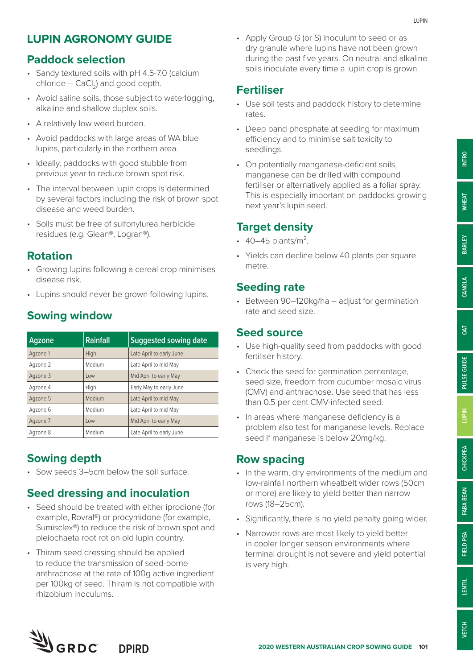# **LUPIN AGRONOMY GUIDE**

# **Paddock selection**

- Sandy textured soils with pH 4.5-7.0 (calcium  $chloride - CaCl<sub>2</sub>$ ) and good depth.
- Avoid saline soils, those subject to waterlogging, alkaline and shallow duplex soils.
- A relatively low weed burden.
- Avoid paddocks with large areas of WA blue lupins, particularly in the northern area.
- Ideally, paddocks with good stubble from previous year to reduce brown spot risk.
- The interval between lupin crops is determined by several factors including the risk of brown spot disease and weed burden.
- Soils must be free of sulfonylurea herbicide residues (e.g. Glean®, Logran®).

## **Rotation**

- Growing lupins following a cereal crop minimises disease risk.
- Lupins should never be grown following lupins.

# **Sowing window**

| Agzone   | Rainfall | <b>Suggested sowing date</b> |
|----------|----------|------------------------------|
| Agzone 1 | High     | Late April to early June     |
| Agzone 2 | Medium   | Late April to mid May        |
| Agzone 3 | Low      | Mid April to early May       |
| Agzone 4 | High     | Early May to early June      |
| Agzone 5 | Medium   | Late April to mid May        |
| Agzone 6 | Medium   | Late April to mid May        |
| Agzone 7 | Low      | Mid April to early May       |
| Agzone 8 | Medium   | Late April to early June     |

# **Sowing depth**

• Sow seeds 3–5cm below the soil surface.

# **Seed dressing and inoculation**

- Seed should be treated with either iprodione (for example, Rovral®) or procymidone (for example, Sumisclex®) to reduce the risk of brown spot and pleiochaeta root rot on old lupin country.
- Thiram seed dressing should be applied to reduce the transmission of seed-borne anthracnose at the rate of 100g active ingredient per 100kg of seed. Thiram is not compatible with rhizobium inoculums.

• Apply Group G (or S) inoculum to seed or as dry granule where lupins have not been grown during the past five years. On neutral and alkaline soils inoculate every time a lupin crop is grown.

# **Fertiliser**

- Use soil tests and paddock history to determine rates.
- Deep band phosphate at seeding for maximum efficiency and to minimise salt toxicity to seedlings.
- On potentially manganese-deficient soils, manganese can be drilled with compound fertiliser or alternatively applied as a foliar spray. This is especially important on paddocks growing next year's lupin seed.

# **Target density**

- 40–45 plants/ $m^2$ .
- Yields can decline below 40 plants per square metre.

## **Seeding rate**

• Between 90–120kg/ha – adjust for germination rate and seed size.

### **Seed source**

- Use high-quality seed from paddocks with good fertiliser history.
- Check the seed for germination percentage, seed size, freedom from cucumber mosaic virus (CMV) and anthracnose. Use seed that has less than 0.5 per cent CMV-infected seed.
- In areas where manganese deficiency is a problem also test for manganese levels. Replace seed if manganese is below 20mg/kg.

## **Row spacing**

- In the warm, dry environments of the medium and low-rainfall northern wheatbelt wider rows (50cm or more) are likely to yield better than narrow rows (18–25cm).
- Significantly, there is no yield penalty going wider.
- Narrower rows are most likely to yield better in cooler longer season environments where terminal drought is not severe and yield potential is very high.

**CANOLA**

**LUPIN**

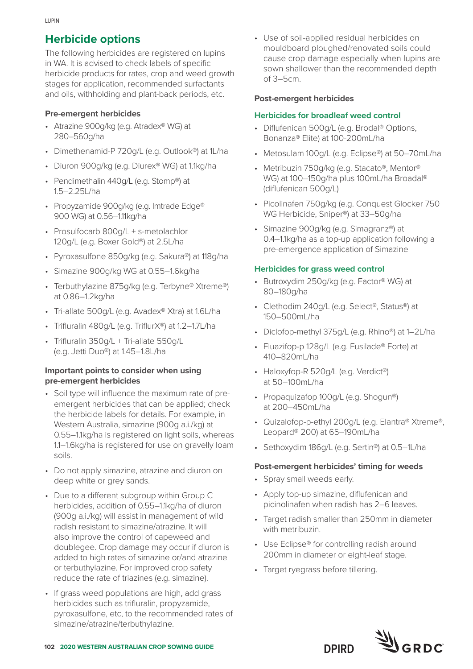## **Herbicide options**

The following herbicides are registered on lupins in WA. It is advised to check labels of specific herbicide products for rates, crop and weed growth stages for application, recommended surfactants and oils, withholding and plant-back periods, etc.

#### **Pre-emergent herbicides**

- Atrazine 900g/kg (e.g. Atradex® WG) at 280–560g/ha
- Dimethenamid-P 720g/L (e.g. Outlook®) at 1L/ha
- Diuron 900g/kg (e.g. Diurex® WG) at 1.1kg/ha
- Pendimethalin 440g/L (e.g. Stomp®) at 1.5–2.25L/ha
- Propyzamide 900g/kg (e.g. Imtrade Edge® 900 WG) at 0.56–1.11kg/ha
- Prosulfocarb 800g/L + s-metolachlor 120g/L (e.g. Boxer Gold®) at 2.5L/ha
- Pyroxasulfone 850g/kg (e.g. Sakura®) at 118g/ha
- Simazine 900g/kg WG at 0.55–1.6kg/ha
- Terbuthylazine 875g/kg (e.g. Terbyne® Xtreme®) at 0.86–1.2kg/ha
- Tri-allate 500g/L (e.g. Avadex® Xtra) at 1.6L/ha
- Trifluralin 480g/L (e.g. TriflurX®) at 1.2–1.7L/ha
- Trifluralin 350g/L + Tri-allate 550g/L (e.g. Jetti Duo®) at 1.45–1.8L/ha

#### **Important points to consider when using pre-emergent herbicides**

- Soil type will influence the maximum rate of preemergent herbicides that can be applied; check the herbicide labels for details. For example, in Western Australia, simazine (900g a.i./kg) at 0.55–1.1kg/ha is registered on light soils, whereas 1.1–1.6kg/ha is registered for use on gravelly loam soils.
- Do not apply simazine, atrazine and diuron on deep white or grey sands.
- Due to a different subgroup within Group C herbicides, addition of 0.55–1.1kg/ha of diuron (900g a.i./kg) will assist in management of wild radish resistant to simazine/atrazine. It will also improve the control of capeweed and doublegee. Crop damage may occur if diuron is added to high rates of simazine or/and atrazine or terbuthylazine. For improved crop safety reduce the rate of triazines (e.g. simazine).
- If grass weed populations are high, add grass herbicides such as trifluralin, propyzamide, pyroxasulfone, etc, to the recommended rates of simazine/atrazine/terbuthylazine.

• Use of soil-applied residual herbicides on mouldboard ploughed/renovated soils could cause crop damage especially when lupins are sown shallower than the recommended depth of 3–5cm.

#### **Post-emergent herbicides**

#### **Herbicides for broadleaf weed control**

- Diflufenican 500g/L (e.g. Brodal® Options, Bonanza® Elite) at 100-200mL/ha
- Metosulam 100g/L (e.g. Eclipse®) at 50–70mL/ha
- Metribuzin 750g/kg (e.g. Stacato®, Mentor® WG) at 100–150g/ha plus 100mL/ha Broadal® (diflufenican 500g/L)
- Picolinafen 750g/kg (e.g. Conquest Glocker 750 WG Herbicide, Sniper®) at 33–50g/ha
- Simazine 900g/kg (e.g. Simagranz®) at 0.4–1.1kg/ha as a top-up application following a pre-emergence application of Simazine

#### **Herbicides for grass weed control**

- Butroxydim 250g/kg (e.g. Factor® WG) at 80–180g/ha
- Clethodim 240g/L (e.g. Select®, Status®) at 150–500mL/ha
- Diclofop-methyl 375g/L (e.g. Rhino®) at 1–2L/ha
- Fluazifop-p 128g/L (e.g. Fusilade® Forte) at 410–820mL/ha
- Haloxyfop-R 520g/L (e.g. Verdict<sup>®</sup>) at 50–100mL/ha
- Propaquizafop 100g/L (e.g. Shogun®) at 200–450mL/ha
- Quizalofop-p-ethyl 200g/L (e.g. Elantra® Xtreme®, Leopard® 200) at 65–190mL/ha
- Sethoxydim 186g/L (e.g. Sertin®) at 0.5–1L/ha

#### **Post-emergent herbicides' timing for weeds**

- Spray small weeds early.
- Apply top-up simazine, diflufenican and picinolinafen when radish has 2–6 leaves.
- Target radish smaller than 250mm in diameter with metribuzin.
- Use Eclipse® for controlling radish around 200mm in diameter or eight-leaf stage.

**DPIRD**

• Target ryegrass before tillering.

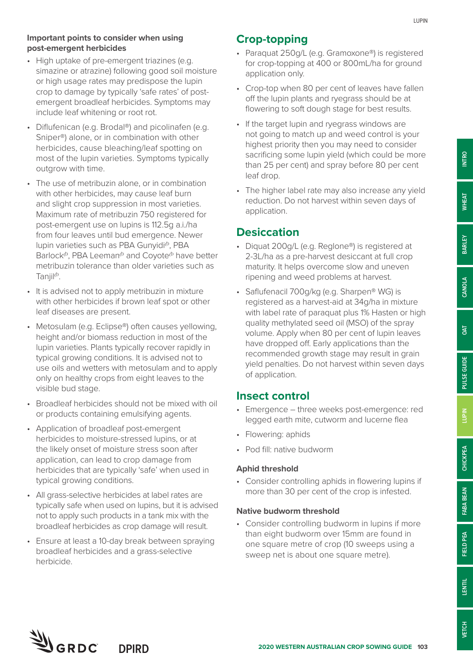**WHEAT**

LUPIN

**FIELD PEA**

FIELD PEA

# **VETCH**

#### **Important points to consider when using post-emergent herbicides**

- High uptake of pre-emergent triazines (e.g. simazine or atrazine) following good soil moisture or high usage rates may predispose the lupin crop to damage by typically 'safe rates' of postemergent broadleaf herbicides. Symptoms may include leaf whitening or root rot.
- Diflufenican (e.g. Brodal®) and picolinafen (e.g. Sniper®) alone, or in combination with other herbicides, cause bleaching/leaf spotting on most of the lupin varieties. Symptoms typically outgrow with time.
- The use of metribuzin alone, or in combination with other herbicides, may cause leaf burn and slight crop suppression in most varieties. Maximum rate of metribuzin 750 registered for post-emergent use on lupins is 112.5g a.i./ha from four leaves until bud emergence. Newer lupin varieties such as PBA Gunyidi<sup>®</sup>, PBA Barlock<sup> $\Phi$ </sup>, PBA Leeman $\Phi$  and Coyote $\Phi$  have better metribuzin tolerance than older varieties such as Tanjil<sup>®</sup>.
- It is advised not to apply metribuzin in mixture with other herbicides if brown leaf spot or other leaf diseases are present.
- Metosulam (e.g. Eclipse®) often causes yellowing, height and/or biomass reduction in most of the lupin varieties. Plants typically recover rapidly in typical growing conditions. It is advised not to use oils and wetters with metosulam and to apply only on healthy crops from eight leaves to the visible bud stage.
- Broadleaf herbicides should not be mixed with oil or products containing emulsifying agents.
- Application of broadleaf post-emergent herbicides to moisture-stressed lupins, or at the likely onset of moisture stress soon after application, can lead to crop damage from herbicides that are typically 'safe' when used in typical growing conditions.
- All grass-selective herbicides at label rates are typically safe when used on lupins, but it is advised not to apply such products in a tank mix with the broadleaf herbicides as crop damage will result.
- Ensure at least a 10-day break between spraying broadleaf herbicides and a grass-selective herbicide.

# **Crop-topping**

- Paraquat 250g/L (e.g. Gramoxone®) is registered for crop-topping at 400 or 800mL/ha for ground application only.
- Crop-top when 80 per cent of leaves have fallen off the lupin plants and ryegrass should be at flowering to soft dough stage for best results.
- If the target lupin and ryegrass windows are not going to match up and weed control is your highest priority then you may need to consider sacrificing some lupin yield (which could be more than 25 per cent) and spray before 80 per cent leaf drop.
- The higher label rate may also increase any yield reduction. Do not harvest within seven days of application.

## **Desiccation**

- Diquat 200g/L (e.g. Reglone®) is registered at 2-3L/ha as a pre-harvest desiccant at full crop maturity. It helps overcome slow and uneven ripening and weed problems at harvest.
- Saflufenacil 700g/kg (e.g. Sharpen® WG) is registered as a harvest-aid at 34g/ha in mixture with label rate of paraquat plus 1% Hasten or high quality methylated seed oil (MSO) of the spray volume. Apply when 80 per cent of lupin leaves have dropped off. Early applications than the recommended growth stage may result in grain yield penalties. Do not harvest within seven days of application.

## **Insect control**

- Emergence three weeks post-emergence: red legged earth mite, cutworm and lucerne flea
- Flowering: aphids
- Pod fill: native budworm

#### **Aphid threshold**

• Consider controlling aphids in flowering lupins if more than 30 per cent of the crop is infested.

#### **Native budworm threshold**

• Consider controlling budworm in lupins if more than eight budworm over 15mm are found in one square metre of crop (10 sweeps using a sweep net is about one square metre).

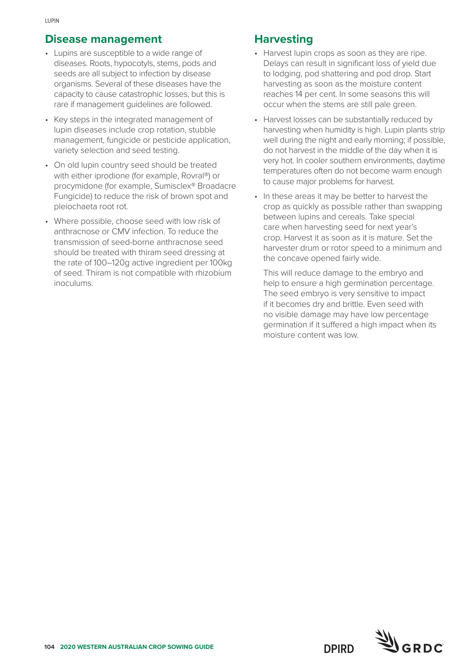#### **Disease management**

- Lupins are susceptible to a wide range of diseases. Roots, hypocotyls, stems, pods and seeds are all subject to infection by disease organisms. Several of these diseases have the capacity to cause catastrophic losses, but this is rare if management guidelines are followed.
- Key steps in the integrated management of lupin diseases include crop rotation, stubble management, fungicide or pesticide application, variety selection and seed testing.
- On old lupin country seed should be treated with either iprodione (for example, Rovral®) or procymidone (for example, Sumisclex® Broadacre Fungicide) to reduce the risk of brown spot and pleiochaeta root rot.
- Where possible, choose seed with low risk of anthracnose or CMV infection. To reduce the transmission of seed-borne anthracnose seed should be treated with thiram seed dressing at the rate of 100–120g active ingredient per 100kg of seed. Thiram is not compatible with rhizobium inoculums.

### **Harvesting**

- Harvest lupin crops as soon as they are ripe. Delays can result in significant loss of yield due to lodging, pod shattering and pod drop. Start harvesting as soon as the moisture content reaches 14 per cent. In some seasons this will occur when the stems are still pale green.
- Harvest losses can be substantially reduced by harvesting when humidity is high. Lupin plants strip well during the night and early morning; if possible, do not harvest in the middle of the day when it is very hot. In cooler southern environments, daytime temperatures often do not become warm enough to cause major problems for harvest.
- In these areas it may be better to harvest the crop as quickly as possible rather than swapping between lupins and cereals. Take special care when harvesting seed for next year's crop. Harvest it as soon as it is mature. Set the harvester drum or rotor speed to a minimum and the concave opened fairly wide.

This will reduce damage to the embryo and help to ensure a high germination percentage. The seed embryo is very sensitive to impact if it becomes dry and brittle. Even seed with no visible damage may have low percentage germination if it suffered a high impact when its moisture content was low.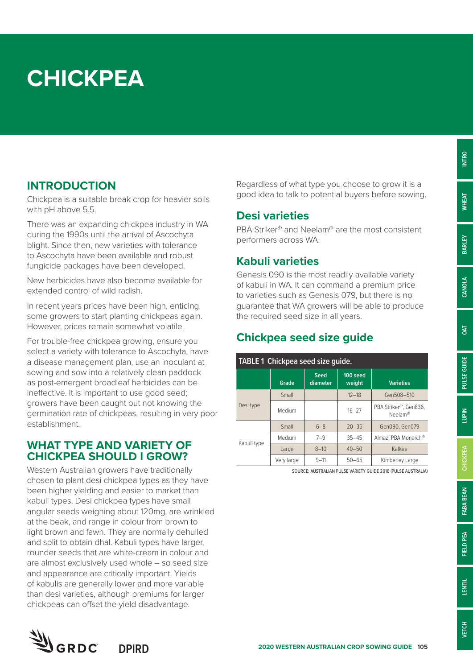# **CHICKPEA**

## **INTRODUCTION**

Chickpea is a suitable break crop for heavier soils with pH above 5.5.

There was an expanding chickpea industry in WA during the 1990s until the arrival of Ascochyta blight. Since then, new varieties with tolerance to Ascochyta have been available and robust fungicide packages have been developed.

New herbicides have also become available for extended control of wild radish.

In recent years prices have been high, enticing some growers to start planting chickpeas again. However, prices remain somewhat volatile.

For trouble-free chickpea growing, ensure you select a variety with tolerance to Ascochyta, have a disease management plan, use an inoculant at sowing and sow into a relatively clean paddock as post-emergent broadleaf herbicides can be ineffective. It is important to use good seed; growers have been caught out not knowing the germination rate of chickpeas, resulting in very poor establishment.

### **WHAT TYPE AND VARIETY OF CHICKPEA SHOULD I GROW?**

Western Australian growers have traditionally chosen to plant desi chickpea types as they have been higher yielding and easier to market than kabuli types. Desi chickpea types have small angular seeds weighing about 120mg, are wrinkled at the beak, and range in colour from brown to light brown and fawn. They are normally dehulled and split to obtain dhal. Kabuli types have larger, rounder seeds that are white-cream in colour and are almost exclusively used whole – so seed size and appearance are critically important. Yields of kabulis are generally lower and more variable than desi varieties, although premiums for larger chickpeas can offset the yield disadvantage.



Regardless of what type you choose to grow it is a good idea to talk to potential buyers before sowing.

### **Desi varieties**

PBA Striker $\Phi$  and Neelam $\Phi$  are the most consistent performers across WA.

## **Kabuli varieties**

Genesis 090 is the most readily available variety of kabuli in WA. It can command a premium price to varieties such as Genesis 079, but there is no guarantee that WA growers will be able to produce the required seed size in all years.

# **Chickpea seed size guide**

| TABLE 1 Chickpea seed size guide. |            |                  |                      |                                                        |  |  |
|-----------------------------------|------------|------------------|----------------------|--------------------------------------------------------|--|--|
|                                   | Grade      | Seed<br>diameter | $100$ seed<br>weight | <b>Varieties</b>                                       |  |  |
|                                   | Small      |                  | $12 - 18$            | Gen508-510                                             |  |  |
| Desi type                         | Medium     |                  | $16 - 27$            | PBA Striker <sup>®</sup> , Gen836.<br>$Neelam^{\odot}$ |  |  |
|                                   | Small      | $6 - 8$          | $20 - 35$            | Gen090, Gen079                                         |  |  |
|                                   | Medium     | $7 - 9$          | $35 - 45$            | Almaz, PBA Monarch <sup>®</sup>                        |  |  |
| Kabuli type                       | Large      | $8 - 10$         | $40 - 50$            | Kalkee                                                 |  |  |
|                                   | Very large | $9 - 11$         | $50 - 65$            | Kimberley Large                                        |  |  |

SOURCE: AUSTRALIAN PULSE VARIETY GUIDE 2016 (PULSE AUSTRALIA)

**INTRO**

**CHICKPEA**

CHICKPEA

**LENTIL**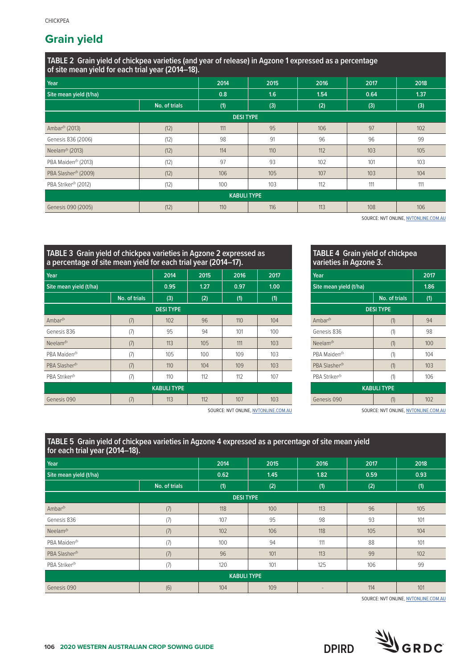# **Grain yield**

**TABLE 2 Grain yield of chickpea varieties (and year of release) in Agzone 1 expressed as a percentage of site mean yield for each trial year (2014–18).**

| .                                | $\mathbf{1}$ . The set of $\mathbf{1}$<br>___ |                  |      |      |      |      |  |
|----------------------------------|-----------------------------------------------|------------------|------|------|------|------|--|
| Year                             |                                               | 2014             | 2015 | 2016 | 2017 | 2018 |  |
| Site mean yield (t/ha)           |                                               | 0.8              | 1.6  | 1.54 | 0.64 | 1.37 |  |
|                                  | No. of trials                                 | (1)              | (3)  | (2)  | (3)  | (3)  |  |
|                                  |                                               | <b>DESI TYPE</b> |      |      |      |      |  |
| Ambar <sup>(b</sup> (2013)       | (12)                                          | 111              | 95   | 106  | 97   | 102  |  |
| Genesis 836 (2006)               | (12)                                          | 98               | 91   | 96   | 96   | 99   |  |
| Neelam <sup>(b</sup> (2013)      | (12)                                          | 114              | 110  | 112  | 103  | 105  |  |
| PBA Maiden <sup>(b</sup> (2013)  | (12)                                          | 97               | 93   | 102  | 101  | 103  |  |
| PBA Slasher <sup>(b</sup> (2009) | (12)                                          | 106              | 105  | 107  | 103  | 104  |  |
| PBA Striker <sup>(b</sup> (2012) | (12)                                          | 100              | 103  | 112  | 111  | 111  |  |
| <b>KABULI TYPE</b>               |                                               |                  |      |      |      |      |  |
| Genesis 090 (2005)               | (12)                                          | 110              | 116  | 113  | 108  | 106  |  |
|                                  |                                               |                  |      |      |      |      |  |

SOURCE: NVT ONLINE, [NVTONLINE.COM.AU](http://nvtonline.com.au)

| TABLE 3 Grain yield of chickpea varieties in Agzone 2 expressed as<br>a percentage of site mean yield for each trial year (2014–17). |               |                  |      |      |      |  |
|--------------------------------------------------------------------------------------------------------------------------------------|---------------|------------------|------|------|------|--|
| Year                                                                                                                                 |               | 2014             | 2015 | 2016 | 2017 |  |
| Site mean yield (t/ha)                                                                                                               |               | 0.95             | 1.27 | 0.97 | 1.00 |  |
|                                                                                                                                      | No. of trials | (3)              | (2)  | (1)  | (1)  |  |
|                                                                                                                                      |               | <b>DESI TYPE</b> |      |      |      |  |
| Ambar <sup>®</sup>                                                                                                                   | (7)           | 10 <sub>2</sub>  | 96   | 110  | 104  |  |
| Genesis 836                                                                                                                          | (7)           | 95               | 94   | 101  | 100  |  |
| $Neelam$ <sup><math>(b)</math></sup>                                                                                                 | (7)           | 113              | 105  | 111  | 103  |  |
| PBA Maiden <sup>®</sup>                                                                                                              | (7)           | 105              | 100  | 109  | 103  |  |
| PBA Slasher <sup>(b</sup>                                                                                                            | (7)           | 110              | 104  | 109  | 103  |  |
| PBA Striker <sup>®</sup>                                                                                                             | (7)           | 110              | 112  | 112  | 107  |  |
| <b>KABULI TYPE</b>                                                                                                                   |               |                  |      |      |      |  |
| Genesis 090                                                                                                                          | (7)           | 113              | 112  | 107  | 103  |  |

| <b>TABLE 4 Grain yield of chickpea</b><br>varieties in Agzone 3. |                      |      |  |  |  |
|------------------------------------------------------------------|----------------------|------|--|--|--|
| Year                                                             |                      | 2017 |  |  |  |
| Site mean yield (t/ha)                                           |                      | 1.86 |  |  |  |
|                                                                  | <b>No. of trials</b> | (1)  |  |  |  |
| <b>DESITYPE</b>                                                  |                      |      |  |  |  |
| $Ambar^{b}$                                                      | (1)                  | 94   |  |  |  |
| Genesis 836                                                      | (1)                  | 98   |  |  |  |
| $Neelam$ <sup><math>(b)</math></sup>                             | (1)                  | 100  |  |  |  |
| PBA Maiden <sup>®</sup>                                          | (1)                  | 104  |  |  |  |
| PBA Slasher <sup>®</sup>                                         | (1)                  | 103  |  |  |  |
| PBA Striker <sup>(b</sup>                                        | (1)                  | 106  |  |  |  |
| <b>KABULI TYPE</b>                                               |                      |      |  |  |  |
| Genesis 090                                                      | (1)                  | 102  |  |  |  |

SOURCE: NVT ONLINE, [NVTONLINE.COM.AU](http://nvtonline.com.au)

SOURCE: NVT ONLINE, [NVTONLINE.COM.AU](http://nvtonline.com.au)

#### **TABLE 5 Grain yield of chickpea varieties in Agzone 4 expressed as a percentage of site mean yield for each trial year (2014–18).**

| Year                     |               | 2014             | 2015 | 2016                         | 2017 | 2018 |
|--------------------------|---------------|------------------|------|------------------------------|------|------|
| Site mean yield (t/ha)   |               | 0.62             | 1.45 | 1.82                         | 0.59 | 0.93 |
|                          | No. of trials | (1)              | (2)  | (1)                          | (2)  | (1)  |
|                          |               | <b>DESI TYPE</b> |      |                              |      |      |
| Ambar <sup>(b</sup>      | (7)           | 118              | 100  | 113                          | 96   | 105  |
| Genesis 836              | (7)           | 107              | 95   | 98                           | 93   | 101  |
| Neelam <sup>(b</sup>     | (7)           | 102              | 106  | 118                          | 105  | 104  |
| PBA Maiden <sup>®</sup>  | (7)           | 100              | 94   | 111                          | 88   | 101  |
| PBA Slasher <sup>®</sup> | (7)           | 96               | 101  | 113                          | 99   | 102  |
| PBA Striker <sup>®</sup> | (7)           | 120              | 101  | 125                          | 106  | 99   |
| <b>KABULI TYPE</b>       |               |                  |      |                              |      |      |
| Genesis 090              | (6)           | 104              | 109  | $\qquad \qquad \blacksquare$ | 114  | 101  |

SOURCE: NVT ONLINE, [NVTONLINE.COM.AU](http://nvtonline.com.au)

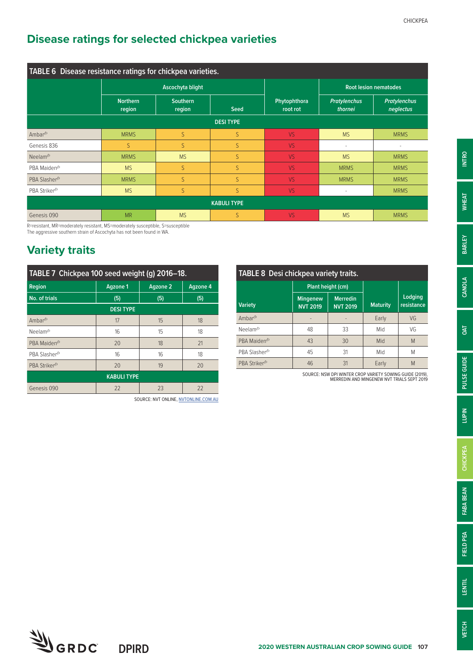# **Disease ratings for selected chickpea varieties**

| TABLE 6 Disease resistance ratings for chickpea varieties.                     |                           |                           |             |                          |                                |                                  |  |
|--------------------------------------------------------------------------------|---------------------------|---------------------------|-------------|--------------------------|--------------------------------|----------------------------------|--|
|                                                                                |                           | Ascochyta blight          |             |                          |                                | <b>Root lesion nematodes</b>     |  |
|                                                                                | <b>Northern</b><br>region | <b>Southern</b><br>region | <b>Seed</b> | Phytophthora<br>root rot | <b>Pratylenchus</b><br>thornei | <b>Pratylenchus</b><br>neglectus |  |
| <b>DESI TYPE</b>                                                               |                           |                           |             |                          |                                |                                  |  |
| Ambar <sup>(b</sup>                                                            | <b>MRMS</b>               | S                         | S           | <b>VS</b>                | <b>MS</b>                      | <b>MRMS</b>                      |  |
| Genesis 836                                                                    | S                         | S                         | S           | <b>VS</b>                | $\overline{\phantom{a}}$       | $\overline{\phantom{a}}$         |  |
| $Neelam^{\Phi}$                                                                | <b>MRMS</b>               | <b>MS</b>                 | S           | <b>VS</b>                | <b>MS</b>                      | <b>MRMS</b>                      |  |
| PBA Maiden <sup>®</sup>                                                        | <b>MS</b>                 | S                         | S           | <b>VS</b>                | <b>MRMS</b>                    | <b>MRMS</b>                      |  |
| PBA Slasher <sup>®</sup>                                                       | <b>MRMS</b>               | S                         | S           | <b>VS</b>                | <b>MRMS</b>                    | <b>MRMS</b>                      |  |
| PBA Striker <sup>(b</sup>                                                      | <b>MS</b>                 | S                         | S           | <b>VS</b>                | $\overline{\phantom{a}}$       | <b>MRMS</b>                      |  |
| <b>KABULI TYPE</b>                                                             |                           |                           |             |                          |                                |                                  |  |
| Genesis 090                                                                    | <b>MR</b>                 | <b>MS</b>                 | S           | <b>VS</b>                | <b>MS</b>                      | <b>MRMS</b>                      |  |
| R=resistant, MR=moderately resistant, MS=moderately susceptible, S=susceptible |                           |                           |             |                          |                                |                                  |  |

R=resistant, MR=moderately resistant, MS=moderately susceptible, S=susceptible The aggressive southern strain of Ascochyta has not been found in WA.

# **Variety traits**

| TABLE 7 Chickpea 100 seed weight (g) 2016-18. |                 |                 |                 |  |  |  |  |
|-----------------------------------------------|-----------------|-----------------|-----------------|--|--|--|--|
| Region                                        | <b>Agzone 1</b> | <b>Agzone 2</b> | <b>Agzone 4</b> |  |  |  |  |
| No. of trials                                 | (5)             | (5)             | (5)             |  |  |  |  |
| <b>DESI TYPE</b>                              |                 |                 |                 |  |  |  |  |
| Ambar ${}^{(b)}$                              | 17              | 15              | 18              |  |  |  |  |
| $Neelam^{\phi}$                               | 16              | 15              | 18              |  |  |  |  |
| PBA Maiden <sup>®</sup>                       | 20              | 18              | 21              |  |  |  |  |
| PBA Slasher <sup>®</sup>                      | 16              | 16              | 18              |  |  |  |  |
| PBA Striker <sup>(b)</sup>                    | 20              | 19              | 20              |  |  |  |  |
| <b>KABULI TYPE</b>                            |                 |                 |                 |  |  |  |  |
| Genesis 090                                   | 22              | 23              | 22              |  |  |  |  |

SOURCE: NVT ONLINE, [NVTONLINE.COM.AU](http://nvtonline.com.au)

| TABLE 8 Desi chickpea variety traits. |                                    |                                    |                 |                       |  |  |
|---------------------------------------|------------------------------------|------------------------------------|-----------------|-----------------------|--|--|
|                                       |                                    | Plant height (cm)                  |                 |                       |  |  |
| <b>Variety</b>                        | <b>Mingenew</b><br><b>NVT 2019</b> | <b>Merredin</b><br><b>NVT 2019</b> | <b>Maturity</b> | Lodging<br>resistance |  |  |
| Ambar $\Phi$                          |                                    |                                    | Early           | VG                    |  |  |
| $Neelam$ <sup><math>(b)</math></sup>  | 48                                 | 33                                 | Mid             | VG                    |  |  |
| PBA Maiden <sup>(b)</sup>             | 43                                 | 30                                 | Mid             | M                     |  |  |
| PBA Slasher <sup>(b</sup>             | 45                                 | 31                                 | Mid             | M                     |  |  |
| PBA Striker <sup>(b</sup>             | 46                                 | 31                                 | Early           | M                     |  |  |

SOURCE: NSW DPI WINTER CROP VARIETY SOWING GUIDE (2019), MERREDIN AND MINGENEW NVT TRIALS SEPT 2019

**UGRDC** DPIRD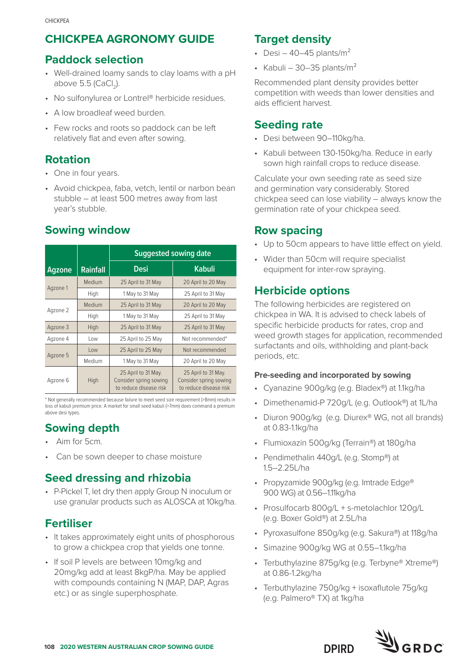# **CHICKPEA AGRONOMY GUIDE**

# **Paddock selection**

- Well-drained loamy sands to clay loams with a pH above  $5.5$  (CaCl<sub>2</sub>).
- No sulfonylurea or Lontrel<sup>®</sup> herbicide residues.
- A low broadleaf weed burden.
- Few rocks and roots so paddock can be left relatively flat and even after sowing.

## **Rotation**

- One in four years.
- Avoid chickpea, faba, vetch, lentil or narbon bean stubble – at least 500 metres away from last year's stubble.

| <b>Sowing window</b> |  |  |
|----------------------|--|--|
|                      |  |  |

|          |          |                                                                         | <b>Suggested sowing date</b>                                            |
|----------|----------|-------------------------------------------------------------------------|-------------------------------------------------------------------------|
| Agzone   | Rainfall | Desi                                                                    | Kabuli                                                                  |
|          | Medium   | 25 April to 31 May                                                      | 20 April to 20 May                                                      |
| Agzone 1 | High     | 1 May to 31 May                                                         | 25 April to 31 May                                                      |
| Medium   |          | 25 April to 31 May                                                      | 20 April to 20 May                                                      |
| Agzone 2 | High     | 1 May to 31 May                                                         | 25 April to 31 May                                                      |
| Agzone 3 | High     | 25 April to 31 May                                                      | 25 April to 31 May                                                      |
| Agzone 4 | Low      | 25 April to 25 May                                                      | Not recommended*                                                        |
|          | Low      | 25 April to 25 May                                                      | Not recommended                                                         |
| Agzone 5 | Medium   | 1 May to 31 May                                                         | 20 April to 20 May                                                      |
| Agzone 6 | High     | 25 April to 31 May.<br>Consider spring sowing<br>to reduce disease risk | 25 April to 31 May.<br>Consider spring sowing<br>to reduce disease risk |

\* Not generally recommended because failure to meet seed size requirement (>8mm) results in loss of kabuli premium price. A market for small seed kabuli (>7mm) does command a premium above desi types.

# **Sowing depth**

- Aim for 5cm.
- Can be sown deeper to chase moisture

# **Seed dressing and rhizobia**

• P-Pickel T, let dry then apply Group N inoculum or use granular products such as ALOSCA at 10kg/ha.

# **Fertiliser**

- It takes approximately eight units of phosphorous to grow a chickpea crop that yields one tonne.
- If soil P levels are between 10mg/kg and 20mg/kg add at least 8kgP/ha. May be applied with compounds containing N (MAP, DAP, Agras etc.) or as single superphosphate.

## **Target density**

- Desi 40–45 plants/ $m<sup>2</sup>$
- Kabuli 30–35 plants/ $m<sup>2</sup>$

Recommended plant density provides better competition with weeds than lower densities and aids efficient harvest.

## **Seeding rate**

- Desi between 90–110kg/ha.
- Kabuli between 130-150kg/ha. Reduce in early sown high rainfall crops to reduce disease.

Calculate your own seeding rate as seed size and germination vary considerably. Stored chickpea seed can lose viability – always know the germination rate of your chickpea seed.

### **Row spacing**

- Up to 50cm appears to have little effect on yield.
- Wider than 50cm will require specialist equipment for inter-row spraying.

# **Herbicide options**

The following herbicides are registered on chickpea in WA. It is advised to check labels of specific herbicide products for rates, crop and weed growth stages for application, recommended surfactants and oils, withholding and plant-back periods, etc.

#### **Pre-seeding and incorporated by sowing**

- Cyanazine 900g/kg (e.g. Bladex®) at 1.1kg/ha
- Dimethenamid-P 720g/L (e.g. Outlook®) at 1L/ha
- Diuron 900g/kg (e.g. Diurex® WG, not all brands) at 0.83-1.1kg/ha
- Flumioxazin 500g/kg (Terrain®) at 180g/ha
- Pendimethalin 440g/L (e.g. Stomp®) at 1.5–2.25L/ha
- Propyzamide 900g/kg (e.g. Imtrade Edge® 900 WG) at 0.56–1.11kg/ha
- Prosulfocarb 800g/L + s-metolachlor 120g/L (e.g. Boxer Gold®) at 2.5L/ha
- Pyroxasulfone 850g/kg (e.g. Sakura®) at 118g/ha
- Simazine 900g/kg WG at 0.55–1.1kg/ha
- Terbuthylazine 875g/kg (e.g. Terbyne® Xtreme®) at 0.86-1.2kg/ha
- Terbuthylazine 750g/kg + isoxaflutole 75g/kg (e.g. Palmero® TX) at 1kg/ha

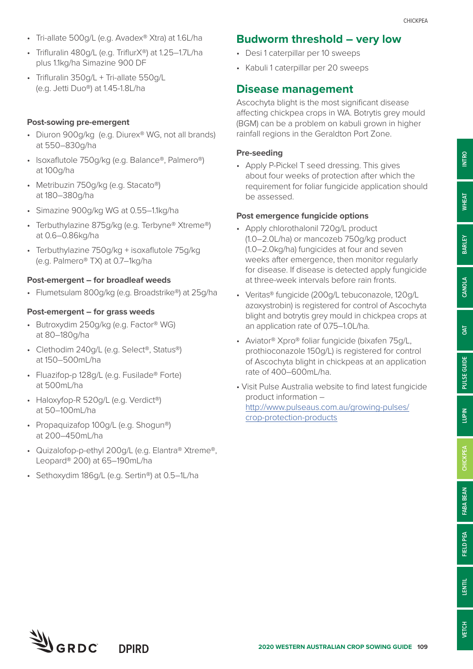- Tri-allate 500g/L (e.g. Avadex® Xtra) at 1.6L/ha
- Trifluralin 480g/L (e.g. TriflurX®) at 1.25–1.7L/ha plus 1.1kg/ha Simazine 900 DF
- Trifluralin 350g/L + Tri-allate 550g/L (e.g. Jetti Duo®) at 1.45-1.8L/ha

#### **Post-sowing pre-emergent**

- Diuron 900g/kg (e.g. Diurex® WG, not all brands) at 550–830g/ha
- Isoxaflutole 750g/kg (e.g. Balance®, Palmero®) at 100g/ha
- Metribuzin 750g/kg (e.g. Stacato®) at 180–380g/ha
- Simazine 900g/kg WG at 0.55–1.1kg/ha
- Terbuthylazine 875g/kg (e.g. Terbyne® Xtreme®) at 0.6–0.86kg/ha
- Terbuthylazine 750g/kg + isoxaflutole 75g/kg (e.g. Palmero® TX) at 0.7–1kg/ha

#### **Post-emergent – for broadleaf weeds**

• Flumetsulam 800g/kg (e.g. Broadstrike®) at 25g/ha

#### **Post-emergent – for grass weeds**

- Butroxydim 250g/kg (e.g. Factor® WG) at 80–180g/ha
- Clethodim 240g/L (e.g. Select®, Status®) at 150–500mL/ha
- Fluazifop-p 128g/L (e.g. Fusilade® Forte) at 500mL/ha
- Haloxyfop-R 520g/L (e.g. Verdict<sup>®</sup>) at 50–100mL/ha
- Propaquizafop 100g/L (e.g. Shogun®) at 200–450mL/ha
- Quizalofop-p-ethyl 200g/L (e.g. Elantra® Xtreme®, Leopard® 200) at 65–190mL/ha
- Sethoxydim 186g/L (e.g. Sertin®) at 0.5–1L/ha

#### **Budworm threshold – very low**

- Desi 1 caterpillar per 10 sweeps
- Kabuli 1 caterpillar per 20 sweeps

#### **Disease management**

Ascochyta blight is the most significant disease affecting chickpea crops in WA. Botrytis grey mould (BGM) can be a problem on kabuli grown in higher rainfall regions in the Geraldton Port Zone.

#### **Pre-seeding**

• Apply P-Pickel T seed dressing. This gives about four weeks of protection after which the requirement for foliar fungicide application should be assessed.

#### **Post emergence fungicide options**

- Apply chlorothalonil 720g/L product (1.0–2.0L/ha) or mancozeb 750g/kg product (1.0–2.0kg/ha) fungicides at four and seven weeks after emergence, then monitor regularly for disease. If disease is detected apply fungicide at three-week intervals before rain fronts.
- Veritas® fungicide (200g/L tebuconazole, 120g/L azoxystrobin) is registered for control of Ascochyta blight and botrytis grey mould in chickpea crops at an application rate of 0.75–1.0L/ha.
- Aviator® Xpro® foliar fungicide (bixafen 75g/L, prothioconazole 150g/L) is registered for control of Ascochyta blight in chickpeas at an application rate of 400–600mL/ha.
- Visit Pulse Australia website to find latest fungicide product information – [http://www.pulseaus.com.au/growing-pulses/](http://www.pulseaus.com.au/growing-pulses/crop-protection-products) [crop-protection-products](http://www.pulseaus.com.au/growing-pulses/crop-protection-products)

**INTRO**

**WHEAT**

**BARLEY**

**VETCH**

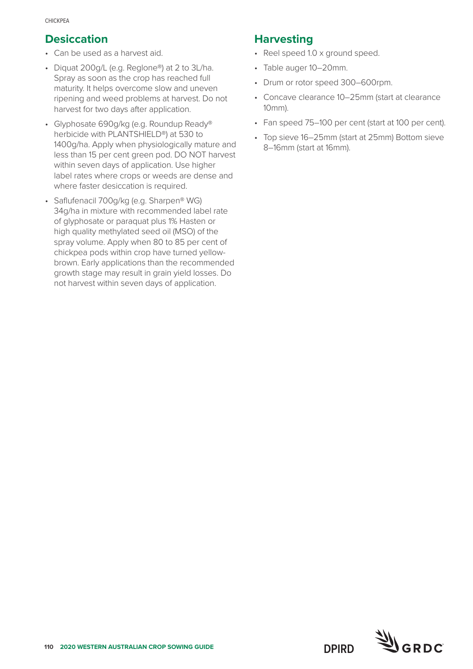## **Desiccation**

- Can be used as a harvest aid.
- Diquat 200g/L (e.g. Reglone®) at 2 to 3L/ha. Spray as soon as the crop has reached full maturity. It helps overcome slow and uneven ripening and weed problems at harvest. Do not harvest for two days after application.
- Glyphosate 690g/kg (e.g. Roundup Ready® herbicide with PLANTSHIELD®) at 530 to 1400g/ha. Apply when physiologically mature and less than 15 per cent green pod. DO NOT harvest within seven days of application. Use higher label rates where crops or weeds are dense and where faster desiccation is required.
- Saflufenacil 700g/kg (e.g. Sharpen® WG) 34g/ha in mixture with recommended label rate of glyphosate or paraquat plus 1% Hasten or high quality methylated seed oil (MSO) of the spray volume. Apply when 80 to 85 per cent of chickpea pods within crop have turned yellowbrown. Early applications than the recommended growth stage may result in grain yield losses. Do not harvest within seven days of application.

## **Harvesting**

- Reel speed 1.0 x ground speed.
- Table auger 10–20mm.
- Drum or rotor speed 300–600rpm.
- Concave clearance 10–25mm (start at clearance 10mm).
- Fan speed 75–100 per cent (start at 100 per cent).
- Top sieve 16–25mm (start at 25mm) Bottom sieve 8–16mm (start at 16mm).

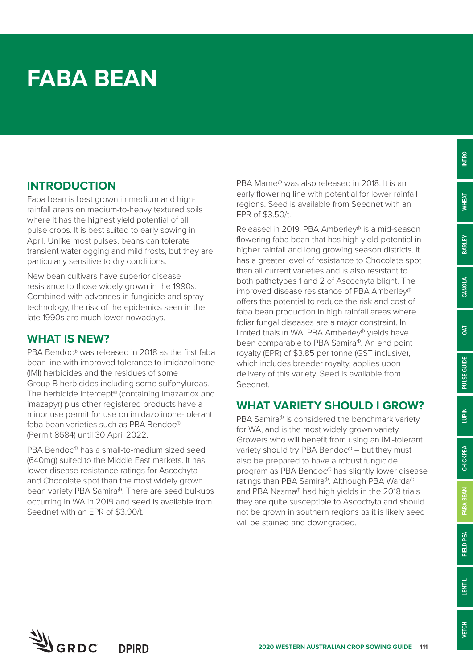# **FABA BEAN**

## **INTRODUCTION**

Faba bean is best grown in medium and highrainfall areas on medium-to-heavy textured soils where it has the highest yield potential of all pulse crops. It is best suited to early sowing in April. Unlike most pulses, beans can tolerate transient waterlogging and mild frosts, but they are particularly sensitive to dry conditions.

New bean cultivars have superior disease resistance to those widely grown in the 1990s. Combined with advances in fungicide and spray technology, the risk of the epidemics seen in the late 1990s are much lower nowadays.

## **WHAT IS NEW?**

PBA Bendoc $\Phi$  was released in 2018 as the first faba bean line with improved tolerance to imidazolinone (IMI) herbicides and the residues of some Group B herbicides including some sulfonylureas. The herbicide Intercept® (containing imazamox and imazapyr) plus other registered products have a minor use permit for use on imidazolinone-tolerant faba bean varieties such as PBA Bendoc $^{\circ}$ (Permit 8684) until 30 April 2022.

 $PBA \text{ Bendoc}^{\phi}$  has a small-to-medium sized seed (640mg) suited to the Middle East markets. It has lower disease resistance ratings for Ascochyta and Chocolate spot than the most widely grown bean variety PBA Samira $\Phi$ . There are seed bulkups occurring in WA in 2019 and seed is available from Seednet with an EPR of \$3.90/t.

 $PBA$  Marne $^{\circ}$  was also released in 2018. It is an early flowering line with potential for lower rainfall regions. Seed is available from Seednet with an EPR of \$3.50/t.

Released in 2019, PBA Amberley<sup>®</sup> is a mid-season flowering faba bean that has high yield potential in higher rainfall and long growing season districts. It has a greater level of resistance to Chocolate spot than all current varieties and is also resistant to both pathotypes 1 and 2 of Ascochyta blight. The improved disease resistance of PBA Amberley $^{\circ}$ offers the potential to reduce the risk and cost of faba bean production in high rainfall areas where foliar fungal diseases are a major constraint. In limited trials in WA, PBA Amberley $\Phi$  yields have been comparable to PBA Samira<sup>®</sup>. An end point royalty (EPR) of \$3.85 per tonne (GST inclusive), which includes breeder royalty, applies upon delivery of this variety. Seed is available from Seednet.

## **WHAT VARIETY SHOULD I GROW?**

PBA Samira $\Phi$  is considered the benchmark variety for WA, and is the most widely grown variety. Growers who will benefit from using an IMI-tolerant variety should try PBA Bendoc $^{\circ}$  – but they must also be prepared to have a robust fungicide program as PBA Bendoc $\Phi$  has slightly lower disease ratings than PBA Samira $\Phi$ . Although PBA Warda $\Phi$ and PBA Nasma $^{\circ}$  had high yields in the 2018 trials they are quite susceptible to Ascochyta and should not be grown in southern regions as it is likely seed will be stained and downgraded.

**OAT**

**CHICKPEA**

**CHICKPEA** 

**VETCH**

SORDC **DPIRD**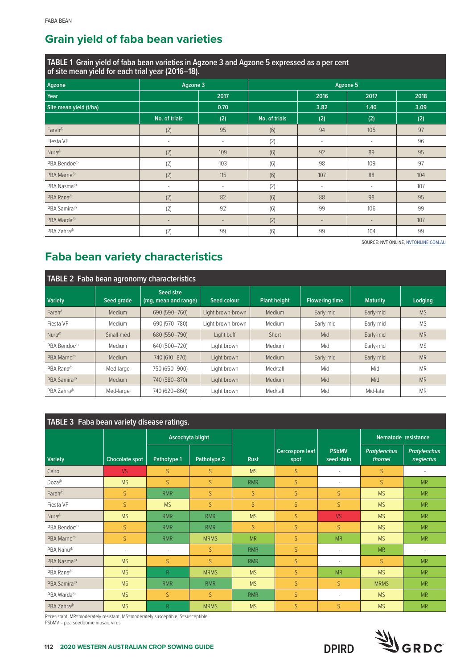# **Grain yield of faba bean varieties**

#### **TABLE 1 Grain yield of faba bean varieties in Agzone 3 and Agzone 5 expressed as a per cent of site mean yield for each trial year (2016–18).**

| of site mean yield for each that year (2010 TO). |                   |                          |               |                          |                          |      |  |  |  |
|--------------------------------------------------|-------------------|--------------------------|---------------|--------------------------|--------------------------|------|--|--|--|
| Agzone                                           | Agzone 3          |                          | Agzone 5      |                          |                          |      |  |  |  |
| Year                                             |                   | 2017                     |               | 2016                     | 2017                     | 2018 |  |  |  |
| Site mean yield (t/ha)                           |                   | 0.70                     |               | 3.82                     | 1.40                     | 3.09 |  |  |  |
|                                                  | No. of trials     | (2)                      | No. of trials | (2)                      | (2)                      | (2)  |  |  |  |
| Farah <sup>(b</sup>                              | (2)               | 95                       | (6)           | 94                       | 105                      | 97   |  |  |  |
| Fiesta VF                                        | ۰                 | $\overline{\phantom{a}}$ | (2)           | $\overline{\phantom{a}}$ | $\overline{\phantom{a}}$ | 96   |  |  |  |
| Nura <sup>(b</sup>                               | (2)               | 109                      | (6)           | 92                       | 89                       | 95   |  |  |  |
| PBA Bendoc <sup>(b</sup>                         | (2)               | 103                      | (6)           | 98                       | 109                      | 97   |  |  |  |
| PBA Marne <sup>(b)</sup>                         | (2)               | 115                      | (6)           | 107                      | 88                       | 104  |  |  |  |
| PBA Nasma <sup>(b</sup>                          | ٠                 | $\sim$                   | (2)           | $\sim$                   | $\overline{\phantom{a}}$ | 107  |  |  |  |
| PBA Rana <sup>(b</sup>                           | (2)               | 82                       | (6)           | 88                       | 98                       | 95   |  |  |  |
| PBA Samira <sup>(b</sup>                         | (2)               | 92                       | (6)           | 99                       | 106                      | 99   |  |  |  |
| PBA Warda <sup>(b</sup>                          | $\qquad \qquad =$ | $\overline{\phantom{a}}$ | (2)           | $\overline{\phantom{a}}$ | $\overline{\phantom{a}}$ | 107  |  |  |  |
| PBA Zahra <sup>®</sup>                           | (2)               | 99                       | (6)           | 99                       | 104                      | 99   |  |  |  |

SOURCE: NVT ONLINE, [NVTONLINE.COM.AU](http://nvtonline.com.au)

# **Faba bean variety characteristics**

| <b>TABLE 2 Faba bean agronomy characteristics</b> |               |                                   |                   |                     |                       |                 |           |  |  |
|---------------------------------------------------|---------------|-----------------------------------|-------------------|---------------------|-----------------------|-----------------|-----------|--|--|
| <b>Variety</b>                                    | Seed grade    | Seed size<br>(mg, mean and range) | Seed colour       | <b>Plant height</b> | <b>Flowering time</b> | <b>Maturity</b> | Lodging   |  |  |
| Farah <sup>(b</sup>                               | Medium        | 690 (590-760)                     | Light brown-brown | Medium              | Early-mid             | Early-mid       | <b>MS</b> |  |  |
| Fiesta VF                                         | Medium        | 690 (570-780)                     | Light brown-brown | Medium              | Early-mid             | Early-mid       | <b>MS</b> |  |  |
| Nura <sup><i>(b</i>)</sup>                        | Small-med     | 680 (550-790)                     | Light buff        | Short               | Mid                   | Early-mid       | <b>MR</b> |  |  |
| PBA Bendoc®                                       | Medium        | 640 (500-720)                     | Light brown       | Medium              | Mid                   | Early-mid       | <b>MS</b> |  |  |
| PBA Marne <sup>(b)</sup>                          | <b>Medium</b> | 740 (610-870)                     | Light brown       | Medium              | Early-mid             | Early-mid       | <b>MR</b> |  |  |
| PBA Rana <sup>(b</sup>                            | Med-large     | 750 (650-900)                     | Light brown       | Med/tall            | Mid                   | Mid             | <b>MR</b> |  |  |
| PBA Samira <sup>(b)</sup>                         | <b>Medium</b> | 740 (580-870)                     | Light brown       | Medium              | Mid                   | Mid             | <b>MR</b> |  |  |
| PBA Zahra <sup>(b</sup>                           | Med-large     | 740 (620-860)                     | Light brown       | Med/tall            | Mid                   | Mid-late        | <b>MR</b> |  |  |

| TABLE 3 Faba bean variety disease ratings. |                       |              |              |              |                         |                            |                                |                                  |  |
|--------------------------------------------|-----------------------|--------------|--------------|--------------|-------------------------|----------------------------|--------------------------------|----------------------------------|--|
|                                            | Ascochyta blight      |              |              |              |                         |                            | Nematode resistance            |                                  |  |
| <b>Variety</b>                             | <b>Chocolate spot</b> | Pathotype 1  | Pathotype 2  | <b>Rust</b>  | Cercospora leaf<br>spot | <b>PSbMV</b><br>seed stain | <b>Pratylenchus</b><br>thornei | <b>Pratylenchus</b><br>neglectus |  |
| Cairo                                      | <b>VS</b>             | S.           | S.           | <b>MS</b>    | S.                      |                            | <sub>S</sub>                   |                                  |  |
| Doza <sup>(b</sup>                         | <b>MS</b>             | S            | S.           | <b>RMR</b>   | $\mathsf{S}$            | ×.                         | <sub>S</sub>                   | <b>MR</b>                        |  |
| Farah <sup>(b</sup>                        | S                     | <b>RMR</b>   | S.           | <sub>S</sub> | $\mathsf{S}$            | S.                         | <b>MS</b>                      | <b>MR</b>                        |  |
| Fiesta VF                                  | S.                    | <b>MS</b>    | S            | S            | S                       | <sup>S</sup>               | <b>MS</b>                      | <b>MR</b>                        |  |
| Nura <sup>(b</sup>                         | <b>MS</b>             | <b>RMR</b>   | <b>RMR</b>   | <b>MS</b>    | $\mathsf{S}$            | <b>VS</b>                  | <b>MS</b>                      | <b>MR</b>                        |  |
| PBA Bendoc <sup>(b</sup>                   | S                     | <b>RMR</b>   | <b>RMR</b>   | S            | S.                      | <sub>S</sub>               | <b>MS</b>                      | <b>MR</b>                        |  |
| PBA Marne <sup>(b)</sup>                   | S                     | <b>RMR</b>   | <b>MRMS</b>  | <b>MR</b>    | S                       | <b>MR</b>                  | <b>MS</b>                      | <b>MR</b>                        |  |
| PBA Nanu <sup>(b</sup>                     | ٠                     | ٠            | S            | <b>RMR</b>   | S.                      | ٠                          | <b>MR</b>                      | ٠                                |  |
| PBA Nasma <sup>(b</sup>                    | <b>MS</b>             | S.           | $\mathsf{S}$ | <b>RMR</b>   | S.                      | ٠                          | <sub>S</sub>                   | <b>MR</b>                        |  |
| PBA Rana <sup>(b</sup>                     | <b>MS</b>             | R            | <b>MRMS</b>  | <b>MS</b>    | S.                      | <b>MR</b>                  | <b>MS</b>                      | <b>MR</b>                        |  |
| PBA Samira <sup>(b</sup>                   | <b>MS</b>             | <b>RMR</b>   | <b>RMR</b>   | <b>MS</b>    | S                       | <sub>S</sub>               | <b>MRMS</b>                    | <b>MR</b>                        |  |
| PBA Warda <sup>(b</sup>                    | <b>MS</b>             | S            | S            | <b>RMR</b>   | S                       | $\sim$                     | <b>MS</b>                      | <b>MR</b>                        |  |
| PBA Zahra <sup>(b</sup>                    | <b>MS</b>             | $\mathsf{R}$ | <b>MRMS</b>  | <b>MS</b>    | S.                      | S                          | <b>MS</b>                      | <b>MR</b>                        |  |

R=resistant, MR=moderately resistant, MS=moderately susceptible, S=susceptible PSbMV = pea seedborne mosaic virus

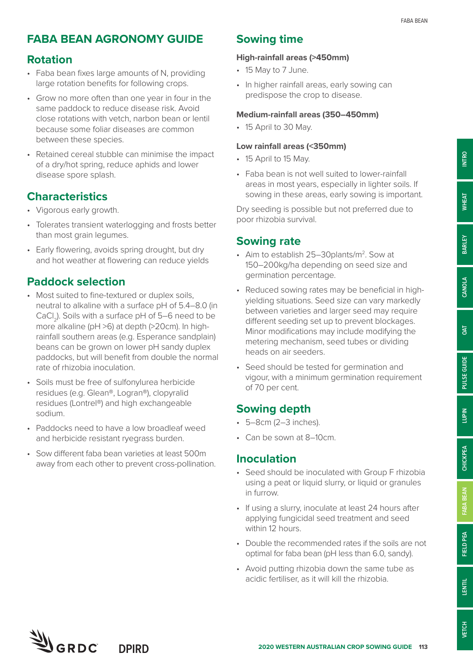**INTRO**

**WHEAT**

**BARLEY**

**CANOLA**

**OAT**

**PULSE GUIDE**

**PULSE GUIDE** 

**LUPIN**

**CHICKPEA**

**CHICKPEA** 

**FABA BEAN**

**FABA BEAN** 

# **FABA BEAN AGRONOMY GUIDE**

#### **Rotation**

- Faba bean fixes large amounts of N, providing large rotation benefits for following crops.
- Grow no more often than one year in four in the same paddock to reduce disease risk. Avoid close rotations with vetch, narbon bean or lentil because some foliar diseases are common between these species.
- Retained cereal stubble can minimise the impact of a dry/hot spring, reduce aphids and lower disease spore splash.

## **Characteristics**

- Vigorous early growth.
- Tolerates transient waterlogging and frosts better than most grain legumes.
- Early flowering, avoids spring drought, but dry and hot weather at flowering can reduce yields

## **Paddock selection**

- Most suited to fine-textured or duplex soils, neutral to alkaline with a surface pH of 5.4–8.0 (in CaCl<sub>2</sub>). Soils with a surface pH of 5–6 need to be more alkaline (pH >6) at depth (>20cm). In highrainfall southern areas (e.g. Esperance sandplain) beans can be grown on lower pH sandy duplex paddocks, but will benefit from double the normal rate of rhizobia inoculation.
- Soils must be free of sulfonylurea herbicide residues (e.g. Glean®, Logran®), clopyralid residues (Lontrel®) and high exchangeable sodium.
- Paddocks need to have a low broadleaf weed and herbicide resistant ryegrass burden.
- Sow different faba bean varieties at least 500m away from each other to prevent cross-pollination.

# **Sowing time**

#### **High-rainfall areas (>450mm)**

- 15 May to 7 June.
- In higher rainfall areas, early sowing can predispose the crop to disease.

#### **Medium-rainfall areas (350–450mm)**

• 15 April to 30 May.

#### **Low rainfall areas (<350mm)**

- 15 April to 15 May.
- Faba bean is not well suited to lower-rainfall areas in most years, especially in lighter soils. If sowing in these areas, early sowing is important.

Dry seeding is possible but not preferred due to poor rhizobia survival.

### **Sowing rate**

- Aim to establish 25–30plants/m<sup>2</sup>. Sow at 150–200kg/ha depending on seed size and germination percentage.
- Reduced sowing rates may be beneficial in highyielding situations. Seed size can vary markedly between varieties and larger seed may require different seeding set up to prevent blockages. Minor modifications may include modifying the metering mechanism, seed tubes or dividing heads on air seeders.
- Seed should be tested for germination and vigour, with a minimum germination requirement of 70 per cent.

# **Sowing depth**

- 5–8cm (2–3 inches).
- Can be sown at 8–10cm.

#### **Inoculation**

- Seed should be inoculated with Group F rhizobia using a peat or liquid slurry, or liquid or granules in furrow.
- If using a slurry, inoculate at least 24 hours after applying fungicidal seed treatment and seed within 12 hours.
- Double the recommended rates if the soils are not optimal for faba bean (pH less than 6.0, sandy).
- Avoid putting rhizobia down the same tube as acidic fertiliser, as it will kill the rhizobia.

SORDC **DPIRD**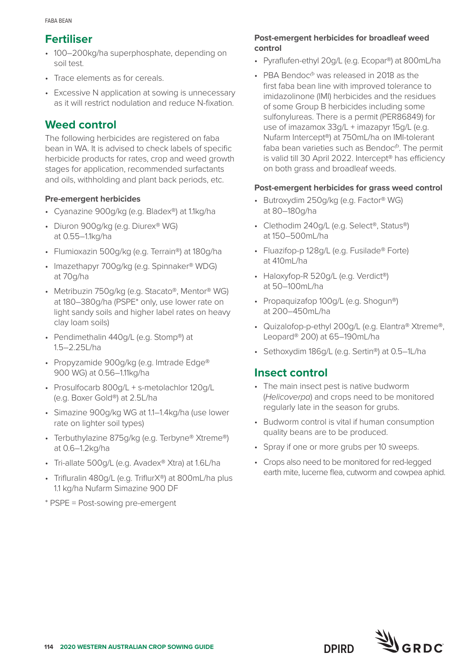## **Fertiliser**

- 100–200kg/ha superphosphate, depending on soil test.
- Trace elements as for cereals.
- Excessive N application at sowing is unnecessary as it will restrict nodulation and reduce N-fixation.

# **Weed control**

The following herbicides are registered on faba bean in WA. It is advised to check labels of specific herbicide products for rates, crop and weed growth stages for application, recommended surfactants and oils, withholding and plant back periods, etc.

#### **Pre-emergent herbicides**

- Cyanazine 900g/kg (e.g. Bladex®) at 1.1kg/ha
- Diuron 900g/kg (e.g. Diurex® WG) at 0.55–1.1kg/ha
- Flumioxazin 500g/kg (e.g. Terrain®) at 180g/ha
- Imazethapyr 700g/kg (e.g. Spinnaker® WDG) at 70g/ha
- Metribuzin 750g/kg (e.g. Stacato®, Mentor® WG) at 180–380g/ha (PSPE\* only, use lower rate on light sandy soils and higher label rates on heavy clay loam soils)
- Pendimethalin 440g/L (e.g. Stomp®) at 1.5–2.25L/ha
- Propyzamide 900g/kg (e.g. Imtrade Edge® 900 WG) at 0.56–1.11kg/ha
- Prosulfocarb 800g/L + s-metolachlor 120g/L (e.g. Boxer Gold®) at 2.5L/ha
- Simazine 900g/kg WG at 1.1–1.4kg/ha (use lower rate on lighter soil types)
- Terbuthylazine 875g/kg (e.g. Terbyne® Xtreme®) at 0.6–1.2kg/ha
- Tri-allate 500g/L (e.g. Avadex® Xtra) at 1.6L/ha
- Trifluralin 480g/L (e.g. TriflurX®) at 800mL/ha plus 1.1 kg/ha Nufarm Simazine 900 DF
- \* PSPE = Post-sowing pre-emergent

#### **Post-emergent herbicides for broadleaf weed control**

- Pyraflufen-ethyl 20g/L (e.g. Ecopar®) at 800mL/ha
- PBA Bendoc $^{\circ}$  was released in 2018 as the first faba bean line with improved tolerance to imidazolinone (IMI) herbicides and the residues of some Group B herbicides including some sulfonylureas. There is a permit (PER86849) for use of imazamox 33g/L + imazapyr 15g/L (e.g. Nufarm Intercept®) at 750mL/ha on IMI-tolerant faba bean varieties such as Bendoc $\Phi$ . The permit is valid till 30 April 2022. Intercept® has efficiency on both grass and broadleaf weeds.

#### **Post-emergent herbicides for grass weed control**

- Butroxydim 250g/kg (e.g. Factor® WG) at 80–180g/ha
- Clethodim 240g/L (e.g. Select®, Status®) at 150–500mL/ha
- Fluazifop-p 128g/L (e.g. Fusilade® Forte) at 410mL/ha
- Haloxyfop-R 520g/L (e.g. Verdict<sup>®</sup>) at 50–100mL/ha
- Propaquizafop 100g/L (e.g. Shogun®) at 200–450mL/ha
- Quizalofop-p-ethyl 200g/L (e.g. Elantra® Xtreme®, Leopard® 200) at 65–190mL/ha
- Sethoxydim 186g/L (e.g. Sertin®) at 0.5–1L/ha

# **Insect control**

- The main insect pest is native budworm (*Helicoverpa*) and crops need to be monitored regularly late in the season for grubs.
- Budworm control is vital if human consumption quality beans are to be produced.
- Spray if one or more grubs per 10 sweeps.

**DPIRD**

• Crops also need to be monitored for red-legged earth mite, lucerne flea, cutworm and cowpea aphid.

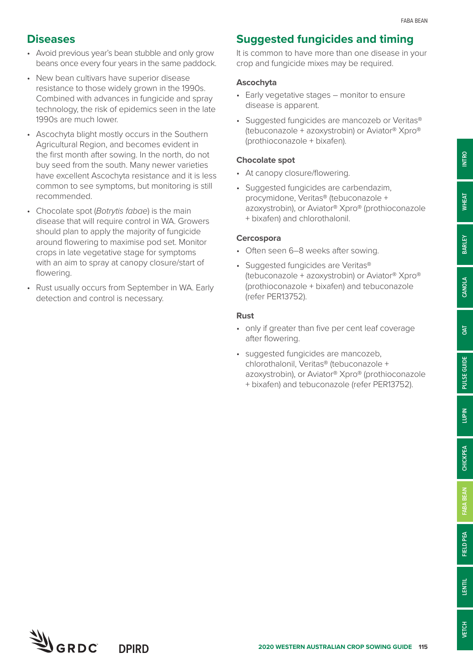### **Diseases**

- Avoid previous year's bean stubble and only grow beans once every four years in the same paddock.
- New bean cultivars have superior disease resistance to those widely grown in the 1990s. Combined with advances in fungicide and spray technology, the risk of epidemics seen in the late 1990s are much lower.
- Ascochyta blight mostly occurs in the Southern Agricultural Region, and becomes evident in the first month after sowing. In the north, do not buy seed from the south. Many newer varieties have excellent Ascochyta resistance and it is less common to see symptoms, but monitoring is still recommended.
- Chocolate spot (*Botrytis fabae*) is the main disease that will require control in WA. Growers should plan to apply the majority of fungicide around flowering to maximise pod set. Monitor crops in late vegetative stage for symptoms with an aim to spray at canopy closure/start of flowering.
- Rust usually occurs from September in WA. Early detection and control is necessary.

# **Suggested fungicides and timing**

It is common to have more than one disease in your crop and fungicide mixes may be required.

#### **Ascochyta**

- Early vegetative stages monitor to ensure disease is apparent.
- Suggested fungicides are mancozeb or Veritas<sup>®</sup> (tebuconazole + azoxystrobin) or Aviator® Xpro® (prothioconazole + bixafen).

#### **Chocolate spot**

- At canopy closure/flowering.
- Suggested fungicides are carbendazim, procymidone, Veritas® (tebuconazole + azoxystrobin), or Aviator® Xpro® (prothioconazole + bixafen) and chlorothalonil.

#### **Cercospora**

- Often seen 6–8 weeks after sowing.
- Suggested fungicides are Veritas<sup>®</sup> (tebuconazole + azoxystrobin) or Aviator® Xpro® (prothioconazole + bixafen) and tebuconazole (refer PER13752).

#### **Rust**

- only if greater than five per cent leaf coverage after flowering.
- suggested fungicides are mancozeb, chlorothalonil, Veritas® (tebuconazole + azoxystrobin), or Aviator® Xpro® (prothioconazole + bixafen) and tebuconazole (refer PER13752).

SORDC **DPIRD**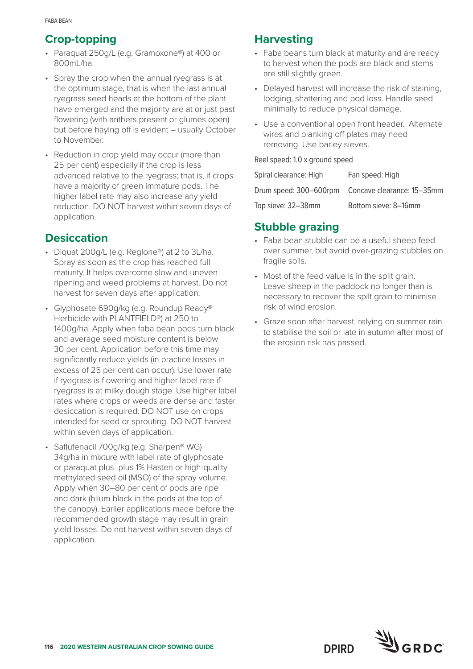## **Crop-topping**

- Paraquat 250g/L (e.g. Gramoxone®) at 400 or 800mL/ha.
- Spray the crop when the annual ryegrass is at the optimum stage, that is when the last annual ryegrass seed heads at the bottom of the plant have emerged and the majority are at or just past flowering (with anthers present or glumes open) but before haying off is evident – usually October to November.
- Reduction in crop yield may occur (more than 25 per cent) especially if the crop is less advanced relative to the ryegrass; that is, if crops have a majority of green immature pods. The higher label rate may also increase any yield reduction. DO NOT harvest within seven days of application.

## **Desiccation**

- Diquat 200g/L (e.g. Reglone®) at 2 to 3L/ha. Spray as soon as the crop has reached full maturity. It helps overcome slow and uneven ripening and weed problems at harvest. Do not harvest for seven days after application.
- Glyphosate 690g/kg (e.g. Roundup Ready® Herbicide with PLANTFIELD®) at 250 to 1400g/ha. Apply when faba bean pods turn black and average seed moisture content is below 30 per cent. Application before this time may significantly reduce yields (in practice losses in excess of 25 per cent can occur). Use lower rate if ryegrass is flowering and higher label rate if ryegrass is at milky dough stage. Use higher label rates where crops or weeds are dense and faster desiccation is required. DO NOT use on crops intended for seed or sprouting. DO NOT harvest within seven days of application.
- Saflufenacil 700g/kg (e.g. Sharpen® WG) 34g/ha in mixture with label rate of glyphosate or paraquat plus plus 1% Hasten or high-quality methylated seed oil (MSO) of the spray volume. Apply when 30–80 per cent of pods are ripe and dark (hilum black in the pods at the top of the canopy). Earlier applications made before the recommended growth stage may result in grain yield losses. Do not harvest within seven days of application.

## **Harvesting**

- Faba beans turn black at maturity and are ready to harvest when the pods are black and stems are still slightly green.
- Delayed harvest will increase the risk of staining, lodging, shattering and pod loss. Handle seed minimally to reduce physical damage.
- Use a conventional open front header. Alternate wires and blanking off plates may need removing. Use barley sieves.

#### Reel speed: 1.0 x ground speed

| Spiral clearance: High | Fan speed: High            |
|------------------------|----------------------------|
| Drum speed: 300-600rpm | Concave clearance: 15–35mm |
| Top sieve: 32-38mm     | Bottom sieve: 8-16mm       |

## **Stubble grazing**

- Faba bean stubble can be a useful sheep feed over summer, but avoid over-grazing stubbles on fragile soils.
- Most of the feed value is in the spilt grain. Leave sheep in the paddock no longer than is necessary to recover the spilt grain to minimise risk of wind erosion.
- Graze soon after harvest, relying on summer rain to stabilise the soil or late in autumn after most of the erosion risk has passed.

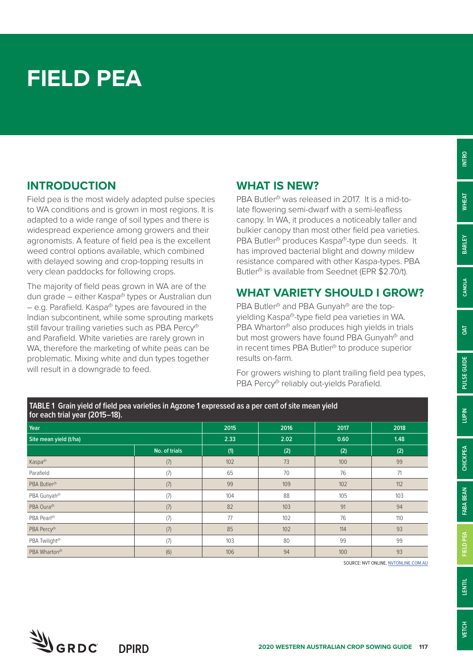# **FIELD PEA**

### **INTRODUCTION**

UGRDC

Field pea is the most widely adapted pulse species to WA conditions and is grown in most regions. It is adapted to a wide range of soil types and there is widespread experience among growers and their agronomists. A feature of field pea is the excellent weed control options available, which combined with delayed sowing and crop-topping results in very clean paddocks for following crops.

The majority of field peas grown in WA are of the dun grade – either Kaspa $\Phi$  types or Australian dun  $-$  e.g. Parafield. Kaspa $\Phi$  types are favoured in the Indian subcontinent, while some sprouting markets still favour trailing varieties such as PBA Percy® and Parafield. White varieties are rarely grown in WA, therefore the marketing of white peas can be problematic. Mixing white and dun types together will result in a downgrade to feed.

#### **WHAT IS NEW?**

PBA Butler<sup> $\Phi$ </sup> was released in 2017. It is a mid-tolate flowering semi-dwarf with a semi-leafless canopy. In WA, it produces a noticeably taller and bulkier canopy than most other field pea varieties. PBA Butler<sup>®</sup> produces Kaspa®-type dun seeds. It has improved bacterial blight and downy mildew resistance compared with other Kaspa-types. PBA Butler<sup>®</sup> is available from Seednet (EPR \$2.70/t).

## **WHAT VARIETY SHOULD I GROW?**

PBA Butler<sup> $\Phi$ </sup> and PBA Gunyah $\Phi$  are the topyielding Kaspa<sup>®</sup>-type field pea varieties in WA.  $PBA Wharton<sup>0</sup>$  also produces high yields in trials but most growers have found PBA Gunyah $\Phi$  and in recent times PBA Butler $\Phi$  to produce superior results on-farm.

For growers wishing to plant trailing field pea types, PBA Percy<sup>®</sup> reliably out-yields Parafield.

| TABLE 1 Grain yield of field pea varieties in Agzone 1 expressed as a per cent of site mean yield<br>for each trial year (2015-18). |               |      |      |      |      |  |  |  |  |
|-------------------------------------------------------------------------------------------------------------------------------------|---------------|------|------|------|------|--|--|--|--|
| Year<br>2015<br>2016<br>2017<br>2018                                                                                                |               |      |      |      |      |  |  |  |  |
| Site mean yield (t/ha)                                                                                                              |               | 2.33 | 2.02 | 0.60 | 1.48 |  |  |  |  |
|                                                                                                                                     | No. of trials | (1)  | (2)  | (2)  | (2)  |  |  |  |  |
| Kaspa <sup>(b</sup>                                                                                                                 | (7)           | 102  | 73   | 100  | 99   |  |  |  |  |
| Parafield                                                                                                                           | (7)           | 65   | 70   | 76   | 71   |  |  |  |  |
| PBA Butler <sup>(b)</sup>                                                                                                           | (7)           | 99   | 109  | 102  | 112  |  |  |  |  |
| PBA Gunyah <sup>(b</sup>                                                                                                            | (7)           | 104  | 88   | 105  | 103  |  |  |  |  |
| PBA Oura <sup>(b)</sup>                                                                                                             | (7)           | 82   | 103  | 91   | 94   |  |  |  |  |
| PBA Pearl <sup>®</sup>                                                                                                              | (7)           | 77   | 102  | 76   | 110  |  |  |  |  |
| PBA Percy <sup>(b</sup>                                                                                                             | (7)           | 85   | 102  | 114  | 93   |  |  |  |  |
| PBA Twilight <sup>®</sup>                                                                                                           | (7)           | 103  | 80   | 99   | 99   |  |  |  |  |
| PBA Wharton <sup>®</sup>                                                                                                            | (6)           | 106  | 94   | 100  | 93   |  |  |  |  |

SOURCE: NVT ONLINE, [NVTONLINE.COM.AU](http://nvtonline.com.au)

**CHICKPEA**

CHICKPEA

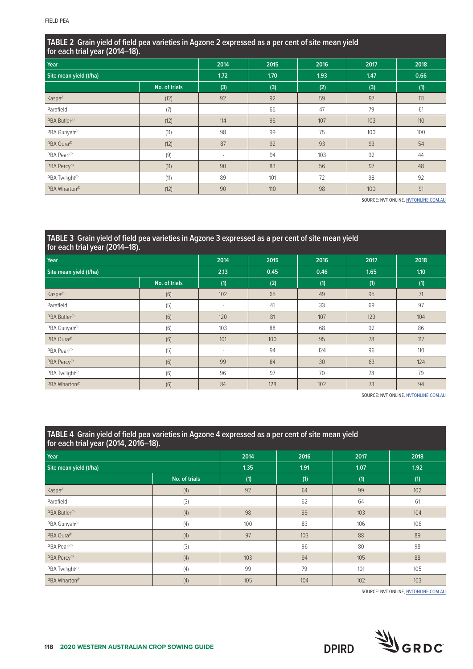#### **TABLE 2 Grain yield of field pea varieties in Agzone 2 expressed as a per cent of site mean yield for each trial year (2014–18).**

| $101$ cach and $y$ car $(201)$ $(20)$ |               |        |      |      |      |      |
|---------------------------------------|---------------|--------|------|------|------|------|
| Year                                  |               | 2014   | 2015 | 2016 | 2017 | 2018 |
| Site mean yield (t/ha)                |               | 1.72   | 1.70 | 1.93 | 1.47 | 0.66 |
|                                       | No. of trials | (3)    | (3)  | (2)  | (3)  | (1)  |
| Kaspa <sup>(b</sup>                   | (12)          | 92     | 92   | 59   | 97   | 111  |
| Parafield                             | (7)           | $\sim$ | 65   | 47   | 79   | 61   |
| PBA Butler <sup>(b</sup>              | (12)          | 114    | 96   | 107  | 103  | 110  |
| PBA Gunyah <sup>®</sup>               | (11)          | 98     | 99   | 75   | 100  | 100  |
| PBA Oura <sup>(b)</sup>               | (12)          | 87     | 92   | 93   | 93   | 54   |
| PBA Pearl <sup>®</sup>                | (9)           | $\sim$ | 94   | 103  | 92   | 44   |
| PBA Percy <sup>(b</sup>               | (11)          | 90     | 83   | 56   | 97   | 48   |
| PBA Twilight <sup>(b)</sup>           | (11)          | 89     | 101  | 72   | 98   | 92   |
| PBA Wharton <sup>®</sup>              | (12)          | 90     | 110  | 98   | 100  | 91   |

SOURCE: NVT ONLINE, [NVTONLINE.COM.AU](http://nvtonline.com.au)

#### **TABLE 3 Grain yield of field pea varieties in Agzone 3 expressed as a per cent of site mean yield for each trial year (2014–18).**

| Year                        |               | 2014   | 2015 | 2016 | 2017 | 2018 |
|-----------------------------|---------------|--------|------|------|------|------|
| Site mean yield (t/ha)      |               | 2.13   | 0.45 | 0.46 | 1.65 | 1.10 |
|                             | No. of trials | (1)    | (2)  | (1)  | (1)  | (1)  |
| Kaspa <sup>(b</sup>         | (6)           | 102    | 65   | 49   | 95   | 71   |
| Parafield                   | (5)           | $\sim$ | 41   | 33   | 69   | 97   |
| PBA Butler <sup>(b</sup>    | (6)           | 120    | 81   | 107  | 129  | 104  |
| PBA Gunyah <sup>(b</sup>    | (6)           | 103    | 88   | 68   | 92   | 86   |
| PBA Oura <sup>(b)</sup>     | (6)           | 101    | 100  | 95   | 78   | 117  |
| PBA Pearl <sup>®</sup>      | (5)           | $\sim$ | 94   | 124  | 96   | 110  |
| PBA Percy <sup>(b</sup>     | (6)           | 99     | 84   | 30   | 63   | 124  |
| PBA Twilight <sup>(b)</sup> | (6)           | 96     | 97   | 70   | 78   | 79   |
| PBA Wharton <sup>(b)</sup>  | (6)           | 84     | 128  | 102  | 73   | 94   |

SOURCE: NVT ONLINE, [NVTONLINE.COM.AU](http://nvtonline.com.au)

#### **TABLE 4 Grain yield of field pea varieties in Agzone 4 expressed as a per cent of site mean yield for each trial year (2014, 2016–18). Year 2014 2016 2017 2018 Site mean yield (t/ha) 1.35 1.91 1.07 1.92 No. of trials (1) (1) (1) (1)** Kaspa<sup>A</sup> (4) 92 64 99 102 Parafield (3) - 62 64 61 PBA Butler<sup>A</sup> (4) 98 99 103 104 PBA Gunyah<sup>A</sup> (4) 100 83 106 106 PBA Oura<sup>A</sup> (4) 97 103 88 89 PBA Pearl<sup>o</sup> 2009 - 1980 - 1998 - 1998 - 1998 - 1998 - 1998 - 1998 - 1998 - 1998 - 1998 - 1998 - 1998 - 1998 - 1998 - 1998 - 1998 - 1998 - 1998 - 1998 - 1998 - 1998 - 1998 - 1999 - 1999 - 1999 - 1999 - 1999 - 1999 - 1999 PBA Percy<sup>d</sup> (4) (4) (4) 103 | 94 | 105 | 88 PBA Twilight<sup>A</sup> (4) 99 79 101 105 PBA Wharton<sup>A</sup> (4) 105 104 102 103

SOURCE: NVT ONLINE, [NVTONLINE.COM.AU](http://nvtonline.com.au)

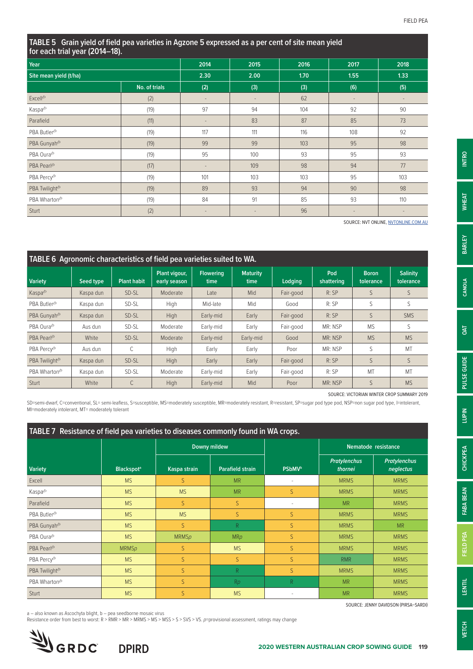**INTRO**

**WHEAT**

**BARLEY**

**Canola**

**OAT**

**PULSE GUIDE**

PULSE GUIDE

**LUPIN**

**CHICKPEA**

CHICKPEA

**FABA BEAN**

FABA BEAN

**FIELD PEA**

FIELD PEA

**LENTIL**

#### **TABLE 5 Grain yield of field pea varieties in Agzone 5 expressed as a per cent of site mean yield for each trial year (2014–18).**

| Year                       |               | 2014                         | 2015                     | 2016 | 2017                     | 2018                         |
|----------------------------|---------------|------------------------------|--------------------------|------|--------------------------|------------------------------|
| Site mean yield (t/ha)     |               | 2.30                         | 2.00                     | 1.70 | 1.55                     | 1.33                         |
|                            | No. of trials | (2)                          | (3)                      | (3)  | (6)                      | (5)                          |
| Excell <sup>(b)</sup>      | (2)           | $\overline{\phantom{a}}$     | $\overline{\phantom{a}}$ | 62   | $\overline{\phantom{a}}$ | $\qquad \qquad \blacksquare$ |
| Kaspa <sup>(b</sup>        | (19)          | 97                           | 94                       | 104  | 92                       | 90                           |
| Parafield                  | (11)          | $\overline{\phantom{a}}$     | 83                       | 87   | 85                       | 73                           |
| PBA Butler <sup>®</sup>    | (19)          | 117                          | 111                      | 116  | 108                      | 92                           |
| PBA Gunyah <sup>(b</sup>   | (19)          | 99                           | 99                       | 103  | 95                       | 98                           |
| PBA Oura <sup>(b)</sup>    | (19)          | 95                           | 100                      | 93   | 95                       | 93                           |
| PBA Pearl <sup>®</sup>     | (17)          |                              | 109                      | 98   | 94                       | 77                           |
| PBA Percy <sup>(b</sup>    | (19)          | 101                          | 103                      | 103  | 95                       | 103                          |
| PBA Twilight <sup>(b</sup> | (19)          | 89                           | 93                       | 94   | 90                       | 98                           |
| PBA Wharton <sup>®</sup>   | (19)          | 84                           | 91                       | 85   | 93                       | 110                          |
| Sturt                      | (2)           | $\qquad \qquad \blacksquare$ | $\overline{\phantom{a}}$ | 96   |                          | $\overline{\phantom{a}}$     |

SOURCE: NVT ONLINE, [NVTONLINE.COM.AU](http://nvtonline.com.au)

| TABLE 6 Agronomic characteristics of field pea varieties suited to WA. |           |                    |                               |                          |                                |           |                   |                           |                              |  |
|------------------------------------------------------------------------|-----------|--------------------|-------------------------------|--------------------------|--------------------------------|-----------|-------------------|---------------------------|------------------------------|--|
| <b>Variety</b>                                                         | Seed type | <b>Plant habit</b> | Plant vigour,<br>early season | <b>Flowering</b><br>time | <b>Maturity</b><br><b>time</b> | Lodging   | Pod<br>shattering | <b>Boron</b><br>tolerance | <b>Salinity</b><br>tolerance |  |
| Kaspa <sup>(b</sup>                                                    | Kaspa dun | SD-SL              | Moderate                      | Late                     | Mid                            | Fair-good | R:SP              | S                         | S                            |  |
| PBA Butler <sup>(b</sup>                                               | Kaspa dun | SD-SL              | High                          | Mid-late                 | Mid                            | Good      | R:SP              | S                         | S                            |  |
| PBA Gunyah <sup>®</sup>                                                | Kaspa dun | SD-SL              | High                          | Early-mid                | Early                          | Fair-good | R:SP              | S                         | <b>SMS</b>                   |  |
| PBA Oura <sup>(b)</sup>                                                | Aus dun   | SD-SL              | Moderate                      | Early-mid                | Early                          | Fair-good | MR: NSP           | <b>MS</b>                 | S                            |  |
| PBA Pearl <sup>®</sup>                                                 | White     | SD-SL              | Moderate                      | Early-mid                | Early-mid                      | Good      | MR: NSP           | <b>MS</b>                 | <b>MS</b>                    |  |
| PBA Percy <sup>(b</sup>                                                | Aus dun   | С                  | High                          | Early                    | Early                          | Poor      | MR: NSP           | S                         | MT                           |  |
| PBA Twilight <sup>®</sup>                                              | Kaspa dun | SD-SL              | <b>High</b>                   | Early                    | Early                          | Fair-good | R:SP              | S                         | S                            |  |
| PBA Wharton <sup>®</sup>                                               | Kaspa dun | SD-SL              | Moderate                      | Early-mid                | Early                          | Fair-good | R:SP              | MT                        | MT                           |  |
| <b>Sturt</b>                                                           | White     | C                  | High                          | Early-mid                | Mid                            | Poor      | MR: NSP           | S                         | <b>MS</b>                    |  |

SOURCE: VICTORIAN WINTER CROP SUMMARY 2019

SD=semi-dwarf, C=conventional, SL= semi-leafless, S=susceptible, MS=moderately susceptible, MR=moderately resistant, R=resistant, SP=sugar pod type pod, NSP=non sugar pod type, I=intolerant, MI=moderately intolerant, MT= moderately tolerant

| TABLE 7 Resistance of field pea varieties to diseases commonly found in WA crops. |                               |                     |                         |                           |                                |                                  |  |  |  |
|-----------------------------------------------------------------------------------|-------------------------------|---------------------|-------------------------|---------------------------|--------------------------------|----------------------------------|--|--|--|
|                                                                                   |                               | Downy mildew        |                         |                           |                                | Nematode resistance              |  |  |  |
| Variety                                                                           | <b>Blackspot</b> <sup>a</sup> | <b>Kaspa strain</b> | <b>Parafield strain</b> | <b>PSbMV</b> <sup>b</sup> | <b>Pratylenchus</b><br>thornei | <b>Pratylenchus</b><br>neglectus |  |  |  |
| Excell                                                                            | <b>MS</b>                     | S                   | <b>MR</b>               | ٠                         | <b>MRMS</b>                    | <b>MRMS</b>                      |  |  |  |
| Kaspa <sup>(b</sup>                                                               | <b>MS</b>                     | <b>MS</b>           | <b>MR</b>               | <sub>S</sub>              | <b>MRMS</b>                    | <b>MRMS</b>                      |  |  |  |
| Parafield                                                                         | <b>MS</b>                     | S                   | S.                      | ٠                         | <b>MR</b>                      | <b>MRMS</b>                      |  |  |  |
| PBA Butler <sup>(b</sup>                                                          | <b>MS</b>                     | <b>MS</b>           | S.                      | S.                        | <b>MRMS</b>                    | <b>MRMS</b>                      |  |  |  |
| PBA Gunyah <sup>(b</sup>                                                          | <b>MS</b>                     | <sub>S</sub>        | R                       | S.                        | <b>MRMS</b>                    | <b>MR</b>                        |  |  |  |
| PBA Oura <sup>(b)</sup>                                                           | <b>MS</b>                     | <b>MRMSp</b>        | MRp                     | S                         | <b>MRMS</b>                    | <b>MRMS</b>                      |  |  |  |
| PBA Pearl <sup>(b)</sup>                                                          | <b>MRMSp</b>                  | <sub>S</sub>        | <b>MS</b>               | S                         | <b>MRMS</b>                    | <b>MRMS</b>                      |  |  |  |
| PBA Percy <sup>(b</sup>                                                           | <b>MS</b>                     | <sup>S</sup>        | S                       | S                         | <b>RMR</b>                     | <b>MRMS</b>                      |  |  |  |
| PBA Twilight <sup>(b)</sup>                                                       | <b>MS</b>                     | <sub>S</sub>        | R                       | S.                        | <b>MRMS</b>                    | <b>MRMS</b>                      |  |  |  |
| PBA Wharton <sup>®</sup>                                                          | <b>MS</b>                     | S                   | Rp                      | R                         | <b>MR</b>                      | <b>MRMS</b>                      |  |  |  |
| Sturt                                                                             | <b>MS</b>                     | <sub>S</sub>        | <b>MS</b>               | $\overline{\phantom{a}}$  | <b>MR</b>                      | <b>MRMS</b>                      |  |  |  |

a – also known as Ascochyta blight, b – pea seedborne mosaic virus

**SOUTHERD** 

Resistance order from best to worst: R > RMR > MR > MRMS > MS > MSS > S > SVS > VS. p=provisional assessment, ratings may change

SOURCE: JENNY DAVIDSON (PIRSA–SARDI)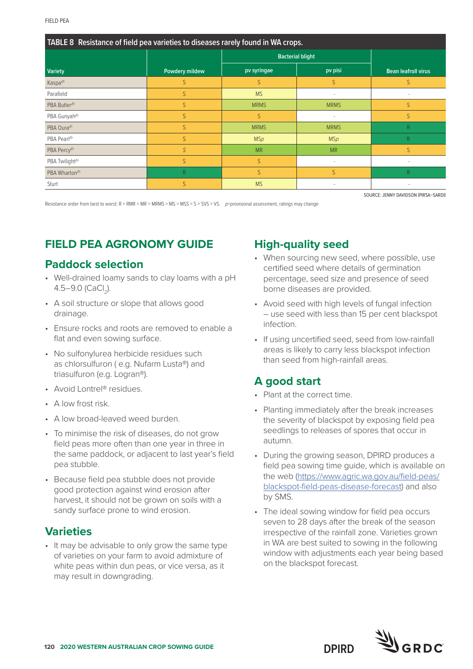| TABLE 8 Resistance of field pea varieties to diseases rarely found in WA crops. |                |                         |                          |                            |  |  |  |  |  |
|---------------------------------------------------------------------------------|----------------|-------------------------|--------------------------|----------------------------|--|--|--|--|--|
|                                                                                 |                | <b>Bacterial blight</b> |                          |                            |  |  |  |  |  |
| <b>Variety</b>                                                                  | Powdery mildew | pv syringae             | pv pisi                  | <b>Bean leafroll virus</b> |  |  |  |  |  |
| Kaspa <sup>(b</sup>                                                             | S              | S                       | S                        | <sub>S</sub>               |  |  |  |  |  |
| Parafield                                                                       | $S^{\dagger}$  | <b>MS</b>               |                          |                            |  |  |  |  |  |
| PBA Butler <sup>(b</sup>                                                        | S.             | <b>MRMS</b>             | <b>MRMS</b>              | S                          |  |  |  |  |  |
| PBA Gunyah <sup>®</sup>                                                         | S.             | S.                      | $\overline{\phantom{a}}$ | S.                         |  |  |  |  |  |
| PBA Oura <sup>(b)</sup>                                                         | S.             | <b>MRMS</b>             | <b>MRMS</b>              | R                          |  |  |  |  |  |
| PBA Pearl <sup>®</sup>                                                          | S.             | MSp                     | MSp                      | $\mathsf{R}$               |  |  |  |  |  |
| PBA Percy <sup>(b</sup>                                                         | S              | <b>MR</b>               | <b>MR</b>                | S                          |  |  |  |  |  |
| PBA Twilight <sup>®</sup>                                                       | S.             | S.                      | ٠                        |                            |  |  |  |  |  |
| PBA Wharton <sup>(b)</sup>                                                      | R.             | S                       | S                        | R                          |  |  |  |  |  |
| Sturt                                                                           | S              | <b>MS</b>               | ۰                        |                            |  |  |  |  |  |

Resistance order from best to worst: R > RMR > MR > MRMS > MS > MSS > S > SVS > VS. p=provisional assessment, ratings may change

# **FIELD PEA AGRONOMY GUIDE**

## **Paddock selection**

- Well-drained loamy sands to clay loams with a pH  $4.5 - 9.0$  (CaCl<sub>2</sub>).
- A soil structure or slope that allows good drainage.
- Ensure rocks and roots are removed to enable a flat and even sowing surface.
- No sulfonylurea herbicide residues such as chlorsulfuron ( e.g. Nufarm Lusta®) and triasulfuron (e.g. Logran®).
- Avoid Lontrel® residues.
- A low frost risk.
- A low broad-leaved weed burden.
- To minimise the risk of diseases, do not grow field peas more often than one year in three in the same paddock, or adjacent to last year's field pea stubble.
- Because field pea stubble does not provide good protection against wind erosion after harvest, it should not be grown on soils with a sandy surface prone to wind erosion.

## **Varieties**

• It may be advisable to only grow the same type of varieties on your farm to avoid admixture of white peas within dun peas, or vice versa, as it may result in downgrading.

# **High-quality seed**

• When sourcing new seed, where possible, use certified seed where details of germination percentage, seed size and presence of seed borne diseases are provided.

SOURCE: JENNY DAVIDSON (PIRSA–SARDI)

- Avoid seed with high levels of fungal infection – use seed with less than 15 per cent blackspot infection.
- If using uncertified seed, seed from low-rainfall areas is likely to carry less blackspot infection than seed from high-rainfall areas.

# **A good start**

- Plant at the correct time.
- Planting immediately after the break increases the severity of blackspot by exposing field pea seedlings to releases of spores that occur in autumn.
- During the growing season, DPIRD produces a field pea sowing time guide, which is available on the web [\(https://www.agric.wa.gov.au/field-peas/](https://www.agric.wa.gov.au/field-peas/blackspot-field-peas-disease-forecast) [blackspot-field-peas-disease-forecast](https://www.agric.wa.gov.au/field-peas/blackspot-field-peas-disease-forecast)) and also by SMS.
- The ideal sowing window for field pea occurs seven to 28 days after the break of the season irrespective of the rainfall zone. Varieties grown in WA are best suited to sowing in the following window with adjustments each year being based on the blackspot forecast.

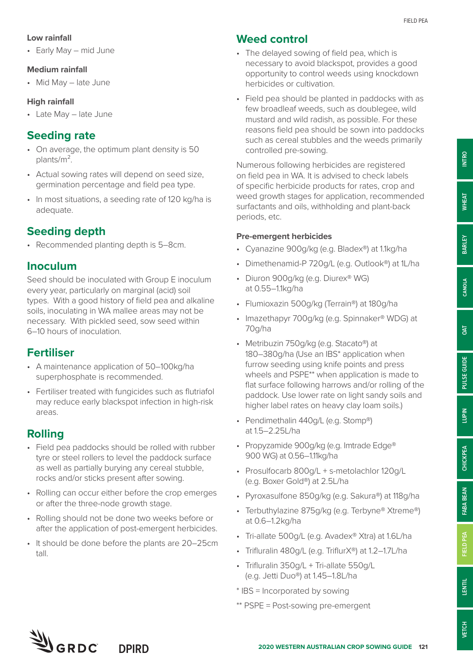**INTRO**

**WHEAT**

**BARLEY**

**Canola**

**OAT**

**PULSE GUIDE**

**PULSE GUIDE** 

**LUPIN**

**CHICKPEA**

CHICKPEA

**FABA BEAN**

**TABA BEAN** 

**FIELD PEA**

FIELD PEA

**LENTIL**

#### **Low rainfall**

• Early May – mid June

#### **Medium rainfall**

• Mid May – late June

#### **High rainfall**

• Late May – late June

# **Seeding rate**

- On average, the optimum plant density is 50 plants/m².
- Actual sowing rates will depend on seed size, germination percentage and field pea type.
- In most situations, a seeding rate of 120 kg/ha is adequate.

# **Seeding depth**

• Recommended planting depth is 5–8cm.

## **Inoculum**

Seed should be inoculated with Group E inoculum every year, particularly on marginal (acid) soil types. With a good history of field pea and alkaline soils, inoculating in WA mallee areas may not be necessary. With pickled seed, sow seed within 6–10 hours of inoculation.

## **Fertiliser**

- A maintenance application of 50–100kg/ha superphosphate is recommended.
- Fertiliser treated with fungicides such as flutriafol may reduce early blackspot infection in high-risk areas.

# **Rolling**

- Field pea paddocks should be rolled with rubber tyre or steel rollers to level the paddock surface as well as partially burying any cereal stubble, rocks and/or sticks present after sowing.
- Rolling can occur either before the crop emerges or after the three-node growth stage.
- Rolling should not be done two weeks before or after the application of post-emergent herbicides.
- It should be done before the plants are 20–25cm tall.

# **Weed control**

- The delayed sowing of field pea, which is necessary to avoid blackspot, provides a good opportunity to control weeds using knockdown herbicides or cultivation.
- Field pea should be planted in paddocks with as few broadleaf weeds, such as doublegee, wild mustard and wild radish, as possible. For these reasons field pea should be sown into paddocks such as cereal stubbles and the weeds primarily controlled pre-sowing.

Numerous following herbicides are registered on field pea in WA. It is advised to check labels of specific herbicide products for rates, crop and weed growth stages for application, recommended surfactants and oils, withholding and plant-back periods, etc.

#### **Pre-emergent herbicides**

- Cyanazine 900g/kg (e.g. Bladex®) at 1.1kg/ha
- Dimethenamid-P 720g/L (e.g. Outlook®) at 1L/ha
- Diuron 900g/kg (e.g. Diurex® WG) at 0.55–1.1kg/ha
- Flumioxazin 500g/kg (Terrain®) at 180g/ha
- Imazethapyr 700g/kg (e.g. Spinnaker® WDG) at 70g/ha
- Metribuzin 750g/kg (e.g. Stacato®) at 180–380g/ha (Use an IBS\* application when furrow seeding using knife points and press wheels and PSPE\*\* when application is made to flat surface following harrows and/or rolling of the paddock. Use lower rate on light sandy soils and higher label rates on heavy clay loam soils.)
- Pendimethalin 440g/L (e.g. Stomp®) at 1.5–2.25L/ha
- Propyzamide 900g/kg (e.g. Imtrade Edge® 900 WG) at 0.56–1.11kg/ha
- Prosulfocarb 800g/L + s-metolachlor 120g/L (e.g. Boxer Gold®) at 2.5L/ha
- Pyroxasulfone 850g/kg (e.g. Sakura®) at 118g/ha
- Terbuthylazine 875g/kg (e.g. Terbyne® Xtreme®) at 0.6–1.2kg/ha
- Tri-allate 500g/L (e.g. Avadex® Xtra) at 1.6L/ha
- Trifluralin 480g/L (e.g. TriflurX®) at 1.2–1.7L/ha
- Trifluralin 350g/L + Tri-allate 550g/L (e.g. Jetti Duo®) at 1.45–1.8L/ha
- \* IBS = Incorporated by sowing
- \*\* PSPE = Post-sowing pre-emergent

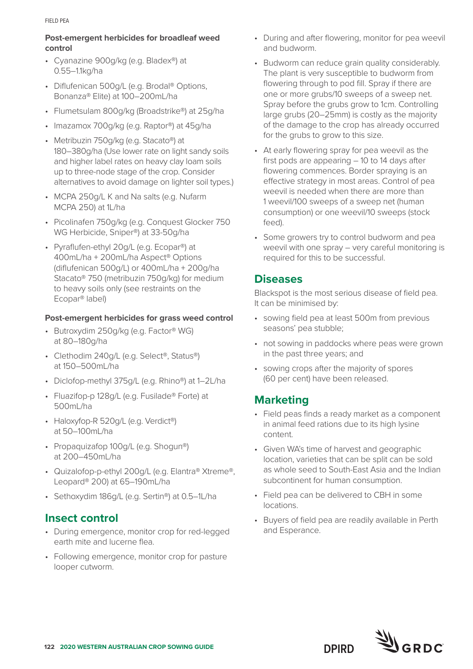FIELD PEA

#### **Post-emergent herbicides for broadleaf weed control**

- Cyanazine 900g/kg (e.g. Bladex®) at 0.55–1.1kg/ha
- Diflufenican 500g/L (e.g. Brodal® Options, Bonanza® Elite) at 100–200mL/ha
- Flumetsulam 800g/kg (Broadstrike®) at 25g/ha
- Imazamox 700g/kg (e.g. Raptor®) at 45g/ha
- Metribuzin 750g/kg (e.g. Stacato®) at 180–380g/ha (Use lower rate on light sandy soils and higher label rates on heavy clay loam soils up to three-node stage of the crop. Consider alternatives to avoid damage on lighter soil types.)
- MCPA 250g/L K and Na salts (e.g. Nufarm MCPA 250) at 1L/ha
- Picolinafen 750g/kg (e.g. Conquest Glocker 750 WG Herbicide, Sniper®) at 33-50g/ha
- Pyraflufen-ethyl 20g/L (e.g. Ecopar®) at 400mL/ha + 200mL/ha Aspect® Options (diflufenican 500g/L) or 400mL/ha + 200g/ha Stacato® 750 (metribuzin 750g/kg) for medium to heavy soils only (see restraints on the Ecopar® label)

#### **Post-emergent herbicides for grass weed control**

- Butroxydim 250g/kg (e.g. Factor® WG) at 80–180g/ha
- Clethodim 240g/L (e.g. Select®, Status®) at 150–500mL/ha
- Diclofop-methyl 375g/L (e.g. Rhino®) at 1–2L/ha
- Fluazifop-p 128g/L (e.g. Fusilade® Forte) at 500mL/ha
- Haloxyfop-R 520g/L (e.g. Verdict®) at 50–100mL/ha
- Propaquizafop 100g/L (e.g. Shogun®) at 200–450mL/ha
- Quizalofop-p-ethyl 200g/L (e.g. Elantra® Xtreme®, Leopard® 200) at 65–190mL/ha
- Sethoxydim 186g/L (e.g. Sertin®) at 0.5–1L/ha

## **Insect control**

- During emergence, monitor crop for red-legged earth mite and lucerne flea.
- Following emergence, monitor crop for pasture looper cutworm.
- During and after flowering, monitor for pea weevil and budworm.
- Budworm can reduce grain quality considerably. The plant is very susceptible to budworm from flowering through to pod fill. Spray if there are one or more grubs/10 sweeps of a sweep net. Spray before the grubs grow to 1cm. Controlling large grubs (20–25mm) is costly as the majority of the damage to the crop has already occurred for the grubs to grow to this size.
- At early flowering spray for pea weevil as the first pods are appearing – 10 to 14 days after flowering commences. Border spraying is an effective strategy in most areas. Control of pea weevil is needed when there are more than 1 weevil/100 sweeps of a sweep net (human consumption) or one weevil/10 sweeps (stock feed).
- Some growers try to control budworm and pea weevil with one spray – very careful monitoring is required for this to be successful.

## **Diseases**

Blackspot is the most serious disease of field pea. It can be minimised by:

- sowing field pea at least 500m from previous seasons' pea stubble;
- not sowing in paddocks where peas were grown in the past three years; and
- sowing crops after the majority of spores (60 per cent) have been released.

## **Marketing**

- Field peas finds a ready market as a component in animal feed rations due to its high lysine content.
- Given WA's time of harvest and geographic location, varieties that can be split can be sold as whole seed to South-East Asia and the Indian subcontinent for human consumption.
- Field pea can be delivered to CBH in some locations.

**DPIRD**

• Buyers of field pea are readily available in Perth and Esperance.

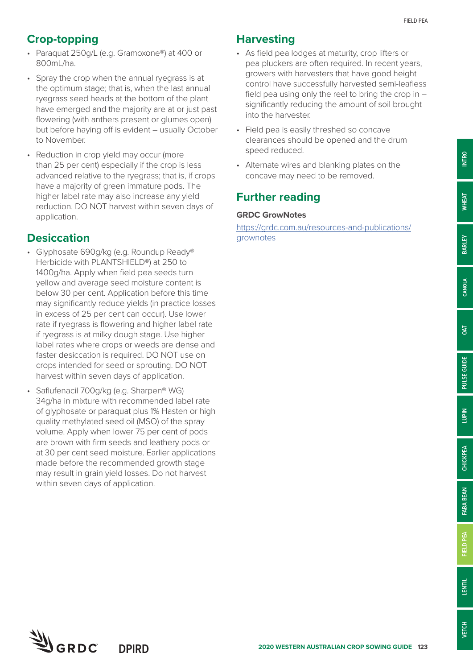## **Crop-topping**

- Paraquat 250g/L (e.g. Gramoxone®) at 400 or 800mL/ha.
- Spray the crop when the annual ryegrass is at the optimum stage; that is, when the last annual ryegrass seed heads at the bottom of the plant have emerged and the majority are at or just past flowering (with anthers present or glumes open) but before haying off is evident – usually October to November.
- Reduction in crop yield may occur (more than 25 per cent) especially if the crop is less advanced relative to the ryegrass; that is, if crops have a majority of green immature pods. The higher label rate may also increase any yield reduction. DO NOT harvest within seven days of application.

## **Desiccation**

- Glyphosate 690g/kg (e.g. Roundup Ready® Herbicide with PLANTSHIELD®) at 250 to 1400g/ha. Apply when field pea seeds turn yellow and average seed moisture content is below 30 per cent. Application before this time may significantly reduce yields (in practice losses in excess of 25 per cent can occur). Use lower rate if ryegrass is flowering and higher label rate if ryegrass is at milky dough stage. Use higher label rates where crops or weeds are dense and faster desiccation is required. DO NOT use on crops intended for seed or sprouting. DO NOT harvest within seven days of application.
- Saflufenacil 700g/kg (e.g. Sharpen® WG) 34g/ha in mixture with recommended label rate of glyphosate or paraquat plus 1% Hasten or high quality methylated seed oil (MSO) of the spray volume. Apply when lower 75 per cent of pods are brown with firm seeds and leathery pods or at 30 per cent seed moisture. Earlier applications made before the recommended growth stage may result in grain yield losses. Do not harvest within seven days of application.

## **Harvesting**

- As field pea lodges at maturity, crop lifters or pea pluckers are often required. In recent years, growers with harvesters that have good height control have successfully harvested semi-leafless field pea using only the reel to bring the crop in – significantly reducing the amount of soil brought into the harvester.
- Field pea is easily threshed so concave clearances should be opened and the drum speed reduced.
- Alternate wires and blanking plates on the concave may need to be removed.

## **Further reading**

#### **GRDC GrowNotes**

[https://grdc.com.au/resources-and-publications/](https://grdc.com.au/resources-and-publications/grownotes) [grownotes](https://grdc.com.au/resources-and-publications/grownotes)

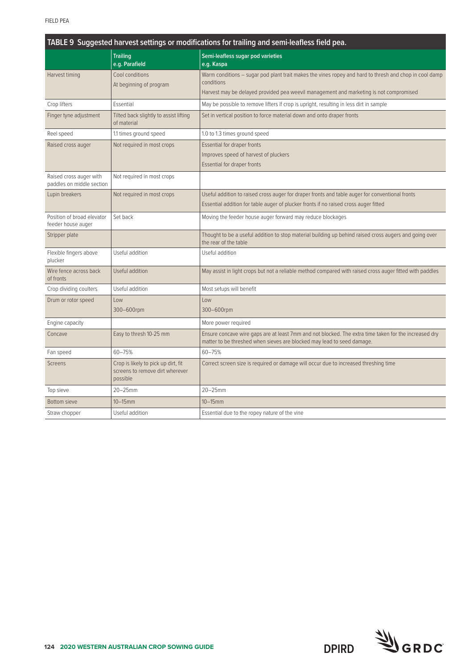| TABLE 9 Suggested harvest settings or modifications for trailing and semi-leafless field pea. |                                                                                    |                                                                                                                                                                                 |  |  |  |  |  |
|-----------------------------------------------------------------------------------------------|------------------------------------------------------------------------------------|---------------------------------------------------------------------------------------------------------------------------------------------------------------------------------|--|--|--|--|--|
|                                                                                               | <b>Trailing</b><br>e.g. Parafield                                                  | Semi-leafless sugar pod varieties<br>e.g. Kaspa                                                                                                                                 |  |  |  |  |  |
| Harvest timing                                                                                | Cool conditions<br>At beginning of program                                         | Warm conditions – sugar pod plant trait makes the vines ropey and hard to thresh and chop in cool damp<br>conditions                                                            |  |  |  |  |  |
|                                                                                               |                                                                                    | Harvest may be delayed provided pea weevil management and marketing is not compromised                                                                                          |  |  |  |  |  |
| Crop lifters                                                                                  | Essential                                                                          | May be possible to remove lifters if crop is upright, resulting in less dirt in sample                                                                                          |  |  |  |  |  |
| Finger tyne adjustment                                                                        | Tilted back slightly to assist lifting<br>of material                              | Set in vertical position to force material down and onto draper fronts                                                                                                          |  |  |  |  |  |
| Reel speed                                                                                    | 1.1 times ground speed                                                             | 1.0 to 1.3 times ground speed                                                                                                                                                   |  |  |  |  |  |
| Raised cross auger                                                                            | Not required in most crops                                                         | Essential for draper fronts                                                                                                                                                     |  |  |  |  |  |
|                                                                                               |                                                                                    | Improves speed of harvest of pluckers                                                                                                                                           |  |  |  |  |  |
|                                                                                               |                                                                                    | Essential for draper fronts                                                                                                                                                     |  |  |  |  |  |
| Raised cross auger with<br>paddles on middle section                                          | Not required in most crops                                                         |                                                                                                                                                                                 |  |  |  |  |  |
| Lupin breakers                                                                                | Not required in most crops                                                         | Useful addition to raised cross auger for draper fronts and table auger for conventional fronts                                                                                 |  |  |  |  |  |
|                                                                                               |                                                                                    | Essential addition for table auger of plucker fronts if no raised cross auger fitted                                                                                            |  |  |  |  |  |
| Position of broad elevator<br>feeder house auger                                              | Set back                                                                           | Moving the feeder house auger forward may reduce blockages                                                                                                                      |  |  |  |  |  |
| Stripper plate                                                                                |                                                                                    | Thought to be a useful addition to stop material building up behind raised cross augers and going over<br>the rear of the table                                                 |  |  |  |  |  |
| Flexible fingers above<br>plucker                                                             | Useful addition                                                                    | Useful addition                                                                                                                                                                 |  |  |  |  |  |
| Wire fence across back<br>of fronts                                                           | Useful addition                                                                    | May assist in light crops but not a reliable method compared with raised cross auger fitted with paddles                                                                        |  |  |  |  |  |
| Crop dividing coulters                                                                        | Useful addition                                                                    | Most setups will benefit                                                                                                                                                        |  |  |  |  |  |
| Drum or rotor speed                                                                           | Low                                                                                | Low                                                                                                                                                                             |  |  |  |  |  |
|                                                                                               | 300-600rpm                                                                         | 300-600rpm                                                                                                                                                                      |  |  |  |  |  |
| Engine capacity                                                                               |                                                                                    | More power required                                                                                                                                                             |  |  |  |  |  |
| Concave                                                                                       | Easy to thresh 10-25 mm                                                            | Ensure concave wire gaps are at least 7mm and not blocked. The extra time taken for the increased dry<br>matter to be threshed when sieves are blocked may lead to seed damage. |  |  |  |  |  |
| Fan speed                                                                                     | 60-75%                                                                             | 60-75%                                                                                                                                                                          |  |  |  |  |  |
| Screens                                                                                       | Crop is likely to pick up dirt, fit<br>screens to remove dirt wherever<br>possible | Correct screen size is required or damage will occur due to increased threshing time                                                                                            |  |  |  |  |  |
| Top sieve                                                                                     | $20-25$ mm                                                                         | $20-25$ mm                                                                                                                                                                      |  |  |  |  |  |
| Bottom sieve                                                                                  | $10-15$ mm                                                                         | $10 - 15$ mm                                                                                                                                                                    |  |  |  |  |  |
| Straw chopper                                                                                 | Useful addition                                                                    | Essential due to the ropey nature of the vine                                                                                                                                   |  |  |  |  |  |

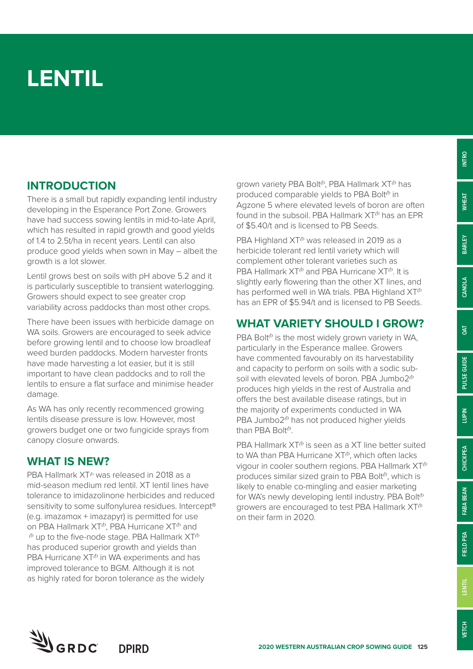# **LENTIL**

## **INTRODUCTION**

There is a small but rapidly expanding lentil industry developing in the Esperance Port Zone. Growers have had success sowing lentils in mid-to-late April, which has resulted in rapid growth and good yields of 1.4 to 2.5t/ha in recent years. Lentil can also produce good yields when sown in May – albeit the growth is a lot slower.

Lentil grows best on soils with pH above 5.2 and it is particularly susceptible to transient waterlogging. Growers should expect to see greater crop variability across paddocks than most other crops.

There have been issues with herbicide damage on WA soils. Growers are encouraged to seek advice before growing lentil and to choose low broadleaf weed burden paddocks. Modern harvester fronts have made harvesting a lot easier, but it is still important to have clean paddocks and to roll the lentils to ensure a flat surface and minimise header damage.

As WA has only recently recommenced growing lentils disease pressure is low. However, most growers budget one or two fungicide sprays from canopy closure onwards.

#### **WHAT IS NEW?**

PBA Hallmark  $XT^{\omega}$  was released in 2018 as a mid-season medium red lentil. XT lentil lines have tolerance to imidazolinone herbicides and reduced sensitivity to some sulfonylurea residues. Intercept<sup>®</sup> (e.g. imazamox + imazapyr) is permitted for use on PBA Hallmark  $XT^{\phi}$ , PBA Hurricane  $XT^{\phi}$  and  $\Phi$  up to the five-node stage. PBA Hallmark XT $\Phi$ has produced superior growth and yields than PBA Hurricane  $XT^{\phi}$  in WA experiments and has improved tolerance to BGM. Although it is not as highly rated for boron tolerance as the widely

grown variety PBA Bolt<sup>®</sup>, PBA Hallmark XT<sup>®</sup> has produced comparable yields to PBA Bolt<sup>®</sup> in Agzone 5 where elevated levels of boron are often found in the subsoil. PBA Hallmark  $XT^{\phi}$  has an EPR of \$5.40/t and is licensed to PB Seeds.

PBA Highland  $XT^{\phi}$  was released in 2019 as a herbicide tolerant red lentil variety which will complement other tolerant varieties such as PBA Hallmark  $XT^{\phi}$  and PBA Hurricane  $XT^{\phi}$ . It is slightly early flowering than the other XT lines, and has performed well in WA trials. PBA Highland  $XT^{\phi}$ has an EPR of \$5.94/t and is licensed to PB Seeds.

## **WHAT VARIETY SHOULD I GROW?**

PBA Bolt $\Phi$  is the most widely grown variety in WA, particularly in the Esperance mallee. Growers have commented favourably on its harvestability and capacity to perform on soils with a sodic subsoil with elevated levels of boron. PBA Jumbo $2^{\circ}$ produces high yields in the rest of Australia and offers the best available disease ratings, but in the majority of experiments conducted in WA PBA Jumbo $2^{\phi}$  has not produced higher yields than PBA Bolt $\Phi$ .

PBA Hallmark  $XT^{\phi}$  is seen as a XT line better suited to WA than PBA Hurricane  $XT^b$ , which often lacks vigour in cooler southern regions. PBA Hallmark  $XT^{\phi}$ produces similar sized grain to PBA Bolt $\Phi$ , which is likely to enable co-mingling and easier marketing for WA's newly developing lentil industry. PBA Bolt $^{\circ}$ growers are encouraged to test PBA Hallmark  $XT^{\theta}$ on their farm in 2020.

**CHICKPEA**

CHICKPEA



SIGRDC **DPIRD**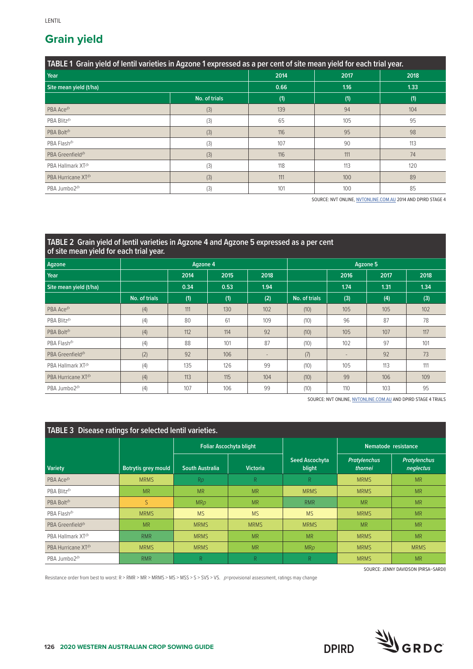# **Grain yield**

| TABLE 1 Grain yield of lentil varieties in Agzone 1 expressed as a per cent of site mean yield for each trial year. |               |      |      |      |  |  |  |  |  |  |
|---------------------------------------------------------------------------------------------------------------------|---------------|------|------|------|--|--|--|--|--|--|
| Year                                                                                                                |               | 2014 | 2017 | 2018 |  |  |  |  |  |  |
| Site mean yield (t/ha)                                                                                              |               | 0.66 | 1.16 | 1.33 |  |  |  |  |  |  |
|                                                                                                                     | No. of trials | (1)  | (1)  | (1)  |  |  |  |  |  |  |
| PBA Ace <sup>db</sup>                                                                                               | (3)           | 139  | 94   | 104  |  |  |  |  |  |  |
| PBA Blitz <sup>®</sup>                                                                                              | (3)           | 65   | 105  | 95   |  |  |  |  |  |  |
| PBA Bolt <sup>(b</sup>                                                                                              | (3)           | 116  | 95   | 98   |  |  |  |  |  |  |
| PBA Flash <sup>(b</sup>                                                                                             | (3)           | 107  | 90   | 113  |  |  |  |  |  |  |
| PBA Greenfield <sup>®</sup>                                                                                         | (3)           | 116  | 111  | 74   |  |  |  |  |  |  |
| PBA Hallmark XT <sup>(b</sup>                                                                                       | (3)           | 118  | 113  | 120  |  |  |  |  |  |  |
| PBA Hurricane XT <sup>®</sup>                                                                                       | (3)           | 111  | 100  | 89   |  |  |  |  |  |  |
| PBA Jumbo2 <sup>(b)</sup>                                                                                           | (3)           | 101  | 100  | 85   |  |  |  |  |  |  |

SOURCE: NVT ONLINE, [NVTONLINE.COM.AU](http://nvtonline.com.au) 2014 AND DPIRD STAGE 4

#### **TABLE 2 Grain yield of lentil varieties in Agzone 4 and Agzone 5 expressed as a per cent of site mean yield for each trial year.**

| Agzone                        |               | Agzone 4 |      |                          |               |                          |      |      |
|-------------------------------|---------------|----------|------|--------------------------|---------------|--------------------------|------|------|
| Year                          |               | 2014     | 2015 | 2018                     |               | 2016                     | 2017 | 2018 |
| Site mean yield (t/ha)        |               | 0.34     | 0.53 | 1.94                     |               | 1.74                     | 1.31 | 1.34 |
|                               | No. of trials | (1)      | (1)  | (2)                      | No. of trials | (3)                      | (4)  | (3)  |
| PBA Ace <sup>db</sup>         | (4)           | 111      | 130  | 102                      | (10)          | 105                      | 105  | 102  |
| PBA Blitz <sup>®</sup>        | (4)           | 80       | 61   | 109                      | (10)          | 96                       | 87   | 78   |
| PBA Bolt <sup>(b)</sup>       | (4)           | 112      | 114  | 92                       | (10)          | 105                      | 107  | 117  |
| PBA Flash <sup>®</sup>        | (4)           | 88       | 101  | 87                       | (10)          | 102                      | 97   | 101  |
| PBA Greenfield <sup>®</sup>   | (2)           | 92       | 106  | $\overline{\phantom{a}}$ | (7)           | $\overline{\phantom{a}}$ | 92   | 73   |
| PBA Hallmark XT <sup>(b</sup> | (4)           | 135      | 126  | 99                       | (10)          | 105                      | 113  | 111  |
| PBA Hurricane XT <sup>®</sup> | (4)           | 113      | 115  | 104                      | (10)          | 99                       | 106  | 109  |
| PBA Jumbo2 <sup>(b)</sup>     | (4)           | 107      | 106  | 99                       | (10)          | 110                      | 103  | 95   |

SOURCE: NVT ONLINE, [NVTONLINE.COM.AU](http://nvtonline.com.au) AND DPIRD STAGE 4 TRIALS

| TABLE 3 Disease ratings for selected lentil varieties. |                     |                        |                                |                                 |                                |                                  |  |  |  |  |
|--------------------------------------------------------|---------------------|------------------------|--------------------------------|---------------------------------|--------------------------------|----------------------------------|--|--|--|--|
|                                                        |                     |                        | <b>Foliar Ascochyta blight</b> |                                 |                                | Nematode resistance              |  |  |  |  |
| <b>Variety</b>                                         | Botrytis grey mould | <b>South Australia</b> | <b>Victoria</b>                | <b>Seed Ascochyta</b><br>blight | <b>Pratylenchus</b><br>thornei | <b>Pratylenchus</b><br>neglectus |  |  |  |  |
| PBA Ace <sup>db</sup>                                  | <b>MRMS</b>         | Rp                     | R                              | R                               | <b>MRMS</b>                    | <b>MR</b>                        |  |  |  |  |
| PBA Blitz <sup>®</sup>                                 | <b>MR</b>           | <b>MR</b>              | <b>MR</b>                      | <b>MRMS</b>                     | <b>MRMS</b>                    | <b>MR</b>                        |  |  |  |  |
| PBA Bolt <sup>(b)</sup>                                | S.                  | MRp                    | <b>MR</b>                      | <b>RMR</b>                      | <b>MR</b>                      | <b>MR</b>                        |  |  |  |  |
| PBA Flash <sup>®</sup>                                 | <b>MRMS</b>         | <b>MS</b>              | <b>MS</b>                      | <b>MS</b>                       | <b>MRMS</b>                    | <b>MR</b>                        |  |  |  |  |
| PBA Greenfield $\Phi$                                  | <b>MR</b>           | <b>MRMS</b>            | <b>MRMS</b>                    | <b>MRMS</b>                     | <b>MR</b>                      | <b>MR</b>                        |  |  |  |  |
| PBA Hallmark XT <sup>®</sup>                           | <b>RMR</b>          | <b>MRMS</b>            | <b>MR</b>                      | <b>MR</b>                       | <b>MRMS</b>                    | <b>MR</b>                        |  |  |  |  |
| PBA Hurricane XT <sup>®</sup>                          | <b>MRMS</b>         | <b>MRMS</b>            | <b>MR</b>                      | MRp                             | <b>MRMS</b>                    | <b>MRMS</b>                      |  |  |  |  |
| PBA Jumbo2 <sup>(b)</sup>                              | <b>RMR</b>          | R                      | $\mathsf{R}$                   | R                               | <b>MRMS</b>                    | <b>MR</b>                        |  |  |  |  |

SOURCE: JENNY DAVIDSON (PIRSA–SARDI)

Resistance order from best to worst: R > RMR > MR > MRMS > MS > MSS > S > SVS > VS. p=provisional assessment, ratings may change

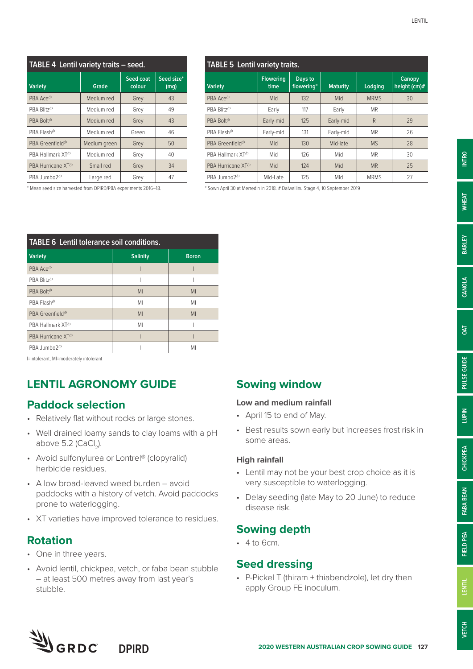**Canopy height (cm)#**

| TABLE 4 Lentil variety traits - seed. |              |                     |                    |  |  |  |  |  |  |  |
|---------------------------------------|--------------|---------------------|--------------------|--|--|--|--|--|--|--|
| <b>Variety</b>                        | Grade        | Seed coat<br>colour | Seed size*<br>(mq) |  |  |  |  |  |  |  |
| PBA Ace <sup>(b)</sup>                | Medium red   | Grey                | 43                 |  |  |  |  |  |  |  |
| PBA Blitz <sup>(b</sup>               | Medium red   | Grey                | 49                 |  |  |  |  |  |  |  |
| PBA Bolt <sup>(b)</sup>               | Medium red   | Grey                | 43                 |  |  |  |  |  |  |  |
| PBA Flash <sup>(b</sup>               | Medium red   | Green               | 46                 |  |  |  |  |  |  |  |
| PBA Greenfield <sup>®</sup>           | Medium green | Grey                | 50                 |  |  |  |  |  |  |  |
| PBA Hallmark XT <sup>®</sup>          | Medium red   | Grey                | 40                 |  |  |  |  |  |  |  |
| PBA Hurricane XT <sup>®</sup>         | Small red    | Grey                | 34                 |  |  |  |  |  |  |  |
| PBA Jumbo2 <sup>®</sup>               | Large red    | Grey                | 47                 |  |  |  |  |  |  |  |

#### \* Mean seed size harvested from DPIRD/PBA experiments 2016–18.

| <b>TABLE 6 Lentil tolerance soil conditions.</b> |                 |              |  |  |  |  |  |  |
|--------------------------------------------------|-----------------|--------------|--|--|--|--|--|--|
| <b>Variety</b>                                   | <b>Salinity</b> | <b>Boron</b> |  |  |  |  |  |  |
| PBA Ace <sup>®</sup>                             |                 |              |  |  |  |  |  |  |
| PBA Blitz <sup>(b)</sup>                         |                 |              |  |  |  |  |  |  |
| PBA Bolt <sup>(b)</sup>                          | MI              | MI           |  |  |  |  |  |  |
| PBA Flash <sup>(b</sup>                          | MI              | MI           |  |  |  |  |  |  |
| PBA Greenfield <sup>®</sup>                      | MI              | MI           |  |  |  |  |  |  |
| PBA Hallmark XT <sup>®</sup>                     | MI              |              |  |  |  |  |  |  |
| PBA Hurricane XT <sup>®</sup>                    |                 |              |  |  |  |  |  |  |
| PBA Jumbo2 <sup>(b)</sup>                        |                 | MI           |  |  |  |  |  |  |

I=intolerant, MI=moderately intolerant

## **LENTIL AGRONOMY GUIDE**

#### **Paddock selection**

- Relatively flat without rocks or large stones.
- Well drained loamy sands to clay loams with a pH above  $5.2$  (CaCl<sub>2</sub>).
- Avoid sulfonylurea or Lontrel® (clopyralid) herbicide residues.
- A low broad-leaved weed burden avoid paddocks with a history of vetch. Avoid paddocks prone to waterlogging.
- XT varieties have improved tolerance to residues.

#### **Rotation**

- One in three years.
- Avoid lentil, chickpea, vetch, or faba bean stubble – at least 500 metres away from last year's stubble.

#### **Sowing window**

#### **Low and medium rainfall**

- April 15 to end of May.
- Best results sown early but increases frost risk in some areas.

#### **High rainfall**

**TABLE 5 Lentil variety traits.**

**Flowering time**

\* Sown April 30 at Merredin in 2018. # Dalwallinu Stage 4, 10 September 2019

**Days to** 

 $\mathsf{PBA}\ \mathsf{Ace}^{\wedge}$  Mid 132 Mid Mid MRMS 30  $PBA \text{ Blitz}$ <sup> $\phi$ </sup>  $\qquad$  Early 117  $\qquad$  Early MR  $\qquad$  -PBA Bolt<sup> $\Phi$ </sup> Early-mid 125 Early-mid R 29  $PBA Flash^{\circ}$  Early-mid 131 Early-mid MR 26  $PBA$  Greenfield<sup> $\circ$ </sup>  $\qquad$  Mid  $\qquad$  130  $\qquad$  Mid-late  $\qquad$  MS  $\qquad$  28  $PRA$  Hallmark  $XT^{\circ}$  Mid 126 Mid Mid MR 30 PBA Hurricane XT<sup> $\phi$ </sup> Mid 124 Mid Mid MR 25  $PRA. Jumbo2^{\circ}$  Mid-Late 125 Mid MRMS 27

**flowering\* Maturity Lodging**

**Variety**

- Lentil may not be your best crop choice as it is very susceptible to waterlogging.
- Delay seeding (late May to 20 June) to reduce disease risk.

#### **Sowing depth**

• 4 to 6cm.

#### **Seed dressing**

• P-Pickel T (thiram + thiabendzole), let dry then apply Group FE inoculum.

**OAT**

**CHICKPEA**

CHICKPEA

**VETCH**

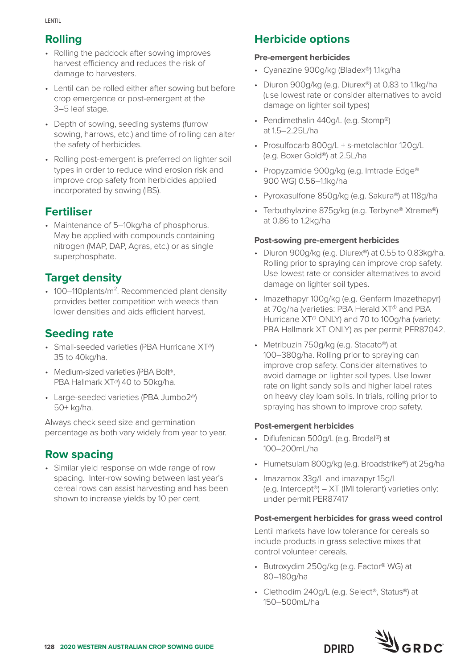LENTIL

# **Rolling**

- Rolling the paddock after sowing improves harvest efficiency and reduces the risk of damage to harvesters.
- Lentil can be rolled either after sowing but before crop emergence or post-emergent at the 3–5 leaf stage.
- Depth of sowing, seeding systems (furrow sowing, harrows, etc.) and time of rolling can alter the safety of herbicides.
- Rolling post-emergent is preferred on lighter soil types in order to reduce wind erosion risk and improve crop safety from herbicides applied incorporated by sowing (IBS).

# **Fertiliser**

• Maintenance of 5–10kg/ha of phosphorus. May be applied with compounds containing nitrogen (MAP, DAP, Agras, etc.) or as single superphosphate.

# **Target density**

• 100–110 plants/m<sup>2</sup>. Recommended plant density provides better competition with weeds than lower densities and aids efficient harvest.

## **Seeding rate**

- Small-seeded varieties (PBA Hurricane  $XT^{\phi}$ ) 35 to 40kg/ha.
- Medium-sized varieties (PBA Bolt $\Phi$ , PBA Hallmark XT<sup>®</sup>) 40 to 50kg/ha.
- Large-seeded varieties (PBA Jumbo $2^{\varnothing}$ ) 50+ kg/ha.

Always check seed size and germination percentage as both vary widely from year to year.

## **Row spacing**

• Similar yield response on wide range of row spacing. Inter-row sowing between last year's cereal rows can assist harvesting and has been shown to increase yields by 10 per cent.

# **Herbicide options**

#### **Pre-emergent herbicides**

- Cyanazine 900g/kg (Bladex®) 1.1kg/ha
- Diuron 900g/kg (e.g. Diurex®) at 0.83 to 1.1kg/ha (use lowest rate or consider alternatives to avoid damage on lighter soil types)
- Pendimethalin 440g/L (e.g. Stomp®) at 1.5–2.25L/ha
- Prosulfocarb 800g/L + s-metolachlor 120g/L (e.g. Boxer Gold®) at 2.5L/ha
- Propyzamide 900g/kg (e.g. Imtrade Edge® 900 WG) 0.56–1.1kg/ha
- Pyroxasulfone 850g/kg (e.g. Sakura®) at 118g/ha
- Terbuthylazine 875g/kg (e.g. Terbyne® Xtreme®) at 0.86 to 1.2kg/ha

#### **Post-sowing pre-emergent herbicides**

- Diuron 900g/kg (e.g. Diurex®) at 0.55 to 0.83kg/ha. Rolling prior to spraying can improve crop safety. Use lowest rate or consider alternatives to avoid damage on lighter soil types.
- Imazethapyr 100g/kg (e.g. Genfarm Imazethapyr) at 70g/ha (varieties: PBA Herald  $XT^{\theta}$  and PBA Hurricane  $XT^{\phi}$  ONLY) and 70 to 100g/ha (variety: PBA Hallmark XT ONLY) as per permit PER87042.
- Metribuzin 750g/kg (e.g. Stacato®) at 100–380g/ha. Rolling prior to spraying can improve crop safety. Consider alternatives to avoid damage on lighter soil types. Use lower rate on light sandy soils and higher label rates on heavy clay loam soils. In trials, rolling prior to spraying has shown to improve crop safety.

#### **Post-emergent herbicides**

- Diflufenican 500g/L (e.g. Brodal®) at 100–200mL/ha
- Flumetsulam 800g/kg (e.g. Broadstrike®) at 25g/ha
- Imazamox 33g/L and imazapyr 15g/L (e.g. Intercept®) – XT (IMI tolerant) varieties only: under permit PER87417

#### **Post-emergent herbicides for grass weed control**

Lentil markets have low tolerance for cereals so include products in grass selective mixes that control volunteer cereals.

- Butroxydim 250g/kg (e.g. Factor® WG) at 80–180g/ha
- Clethodim 240g/L (e.g. Select®, Status®) at 150–500mL/ha

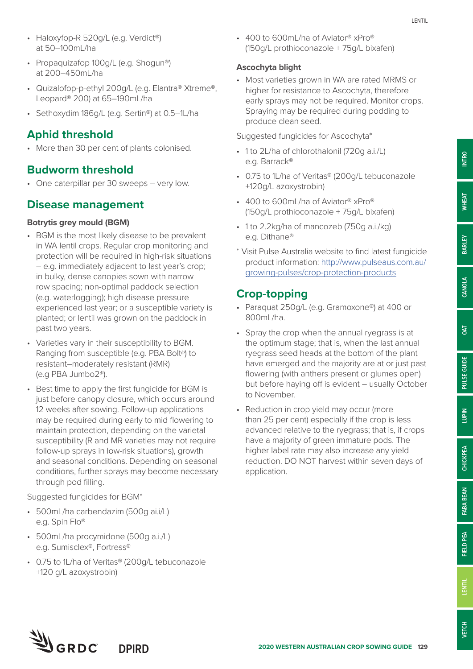- Haloxyfop-R 520q/L (e.g. Verdict<sup>®</sup>) at 50–100mL/ha
- Propaquizafop 100g/L (e.g. Shogun®) at 200–450mL/ha
- Quizalofop-p-ethyl 200g/L (e.g. Elantra® Xtreme®, Leopard® 200) at 65–190mL/ha
- Sethoxydim 186g/L (e.g. Sertin®) at 0.5–1L/ha

# **Aphid threshold**

• More than 30 per cent of plants colonised.

# **Budworm threshold**

• One caterpillar per 30 sweeps – very low.

# **Disease management**

#### **Botrytis grey mould (BGM)**

- BGM is the most likely disease to be prevalent in WA lentil crops. Regular crop monitoring and protection will be required in high-risk situations – e.g. immediately adjacent to last year's crop; in bulky, dense canopies sown with narrow row spacing; non-optimal paddock selection (e.g. waterlogging); high disease pressure experienced last year; or a susceptible variety is planted; or lentil was grown on the paddock in past two years.
- Varieties vary in their susceptibility to BGM. Ranging from susceptible (e.g. PBA Bolt<sup>®</sup>) to resistant–moderately resistant (RMR) (e.g PBA Jumbo $2^{\circ}$ ).
- Best time to apply the first fungicide for BGM is just before canopy closure, which occurs around 12 weeks after sowing. Follow-up applications may be required during early to mid flowering to maintain protection, depending on the varietal susceptibility (R and MR varieties may not require follow-up sprays in low-risk situations), growth and seasonal conditions. Depending on seasonal conditions, further sprays may become necessary through pod filling.

Suggested fungicides for BGM\*

- 500mL/ha carbendazim (500g ai.i/L) e.g. Spin Flo®
- 500mL/ha procymidone (500g a.i./L) e.g. Sumisclex®, Fortress®
- 0.75 to 1L/ha of Veritas® (200g/L tebuconazole +120 g/L azoxystrobin)

• 400 to 600mL/ha of Aviator® xPro® (150g/L prothioconazole + 75g/L bixafen)

#### **Ascochyta blight**

• Most varieties grown in WA are rated MRMS or higher for resistance to Ascochyta, therefore early sprays may not be required. Monitor crops. Spraying may be required during podding to produce clean seed.

Suggested fungicides for Ascochyta\*

- 1 to 2L/ha of chlorothalonil (720g a.i./L) e.g. Barrack®
- 0.75 to 1L/ha of Veritas® (200g/L tebuconazole +120g/L azoxystrobin)
- 400 to 600mL/ha of Aviator® xPro® (150g/L prothioconazole + 75g/L bixafen)
- 1 to 2.2kg/ha of mancozeb (750g a.i./kg) e.g. Dithane®
- \* Visit Pulse Australia website to find latest fungicide product information: [http://www.pulseaus.com.au/](http://www.pulseaus.com.au/growing-pulses/crop-protection-products) [growing-pulses/crop-protection-products](http://www.pulseaus.com.au/growing-pulses/crop-protection-products)

# **Crop-topping**

- Paraquat 250g/L (e.g. Gramoxone®) at 400 or 800mL/ha.
- Spray the crop when the annual ryegrass is at the optimum stage; that is, when the last annual ryegrass seed heads at the bottom of the plant have emerged and the majority are at or just past flowering (with anthers present or glumes open) but before haying off is evident – usually October to November.
- Reduction in crop yield may occur (more than 25 per cent) especially if the crop is less advanced relative to the ryegrass; that is, if crops have a majority of green immature pods. The higher label rate may also increase any yield reduction. DO NOT harvest within seven days of application.

**LENTIL**

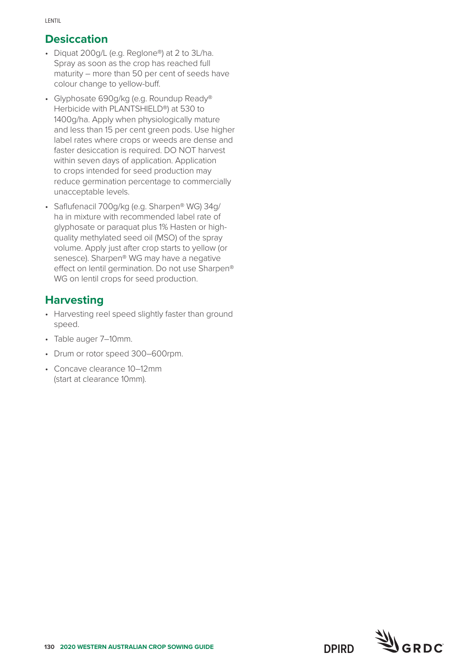## **Desiccation**

- Diquat 200g/L (e.g. Reglone®) at 2 to 3L/ha. Spray as soon as the crop has reached full maturity – more than 50 per cent of seeds have colour change to yellow-buff.
- Glyphosate 690g/kg (e.g. Roundup Ready® Herbicide with PLANTSHIELD®) at 530 to 1400g/ha. Apply when physiologically mature and less than 15 per cent green pods. Use higher label rates where crops or weeds are dense and faster desiccation is required. DO NOT harvest within seven days of application. Application to crops intended for seed production may reduce germination percentage to commercially unacceptable levels.
- Saflufenacil 700g/kg (e.g. Sharpen® WG) 34g/ ha in mixture with recommended label rate of glyphosate or paraquat plus 1% Hasten or highquality methylated seed oil (MSO) of the spray volume. Apply just after crop starts to yellow (or senesce). Sharpen® WG may have a negative effect on lentil germination. Do not use Sharpen® WG on lentil crops for seed production.

## **Harvesting**

- Harvesting reel speed slightly faster than ground speed.
- Table auger 7–10mm.
- Drum or rotor speed 300–600rpm.
- Concave clearance 10–12mm (start at clearance 10mm).

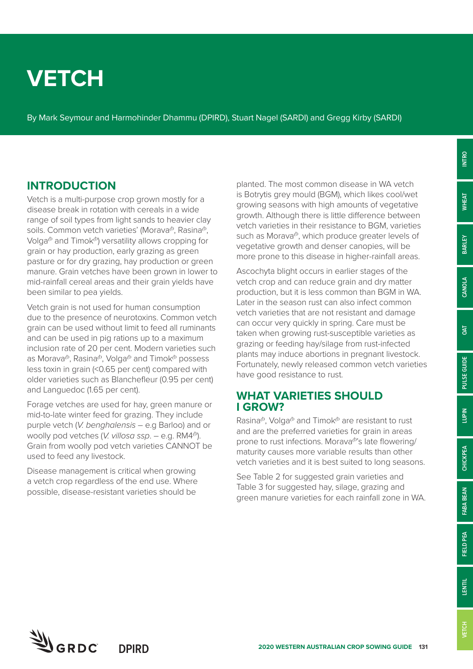# **VETCH**

By Mark Seymour and Harmohinder Dhammu (DPIRD), Stuart Nagel (SARDI) and Gregg Kirby (SARDI)

## **INTRODUCTION**

Vetch is a multi-purpose crop grown mostly for a disease break in rotation with cereals in a wide range of soil types from light sands to heavier clay soils. Common vetch varieties' (Morava $\Phi$ , Rasina $\Phi$ , Volga $\Phi$  and Timok $\Phi$ ) versatility allows cropping for grain or hay production, early grazing as green pasture or for dry grazing, hay production or green manure. Grain vetches have been grown in lower to mid-rainfall cereal areas and their grain yields have been similar to pea yields.

Vetch grain is not used for human consumption due to the presence of neurotoxins. Common vetch grain can be used without limit to feed all ruminants and can be used in pig rations up to a maximum inclusion rate of 20 per cent. Modern varieties such as Morava $\Phi$ , Rasina $\Phi$ , Volga $\Phi$  and Timok $\Phi$  possess less toxin in grain (<0.65 per cent) compared with older varieties such as Blanchefleur (0.95 per cent) and Languedoc (1.65 per cent).

Forage vetches are used for hay, green manure or mid-to-late winter feed for grazing. They include purple vetch (*V. benghalensis* – e.g Barloo) and or woolly pod vetches (*V. villosa ssp.* – e.g. RM4<sup> $b$ </sup>). Grain from woolly pod vetch varieties CANNOT be used to feed any livestock.

Disease management is critical when growing a vetch crop regardless of the end use. Where possible, disease-resistant varieties should be

planted. The most common disease in WA vetch is Botrytis grey mould (BGM), which likes cool/wet growing seasons with high amounts of vegetative growth. Although there is little difference between vetch varieties in their resistance to BGM, varieties such as Morava $\Phi$ , which produce greater levels of vegetative growth and denser canopies, will be more prone to this disease in higher-rainfall areas.

Ascochyta blight occurs in earlier stages of the vetch crop and can reduce grain and dry matter production, but it is less common than BGM in WA. Later in the season rust can also infect common vetch varieties that are not resistant and damage can occur very quickly in spring. Care must be taken when growing rust-susceptible varieties as grazing or feeding hay/silage from rust-infected plants may induce abortions in pregnant livestock. Fortunately, newly released common vetch varieties have good resistance to rust.

#### **WHAT VARIETIES SHOULD I GROW?**

Rasina $\Phi$ , Volga $\Phi$  and Timok $\Phi$  are resistant to rust and are the preferred varieties for grain in areas prone to rust infections. Morava $\Phi$ 's late flowering/ maturity causes more variable results than other vetch varieties and it is best suited to long seasons.

See Table 2 for suggested grain varieties and Table 3 for suggested hay, silage, grazing and green manure varieties for each rainfall zone in WA. **OAT**

**CHICKPEA**

CHICKPEA

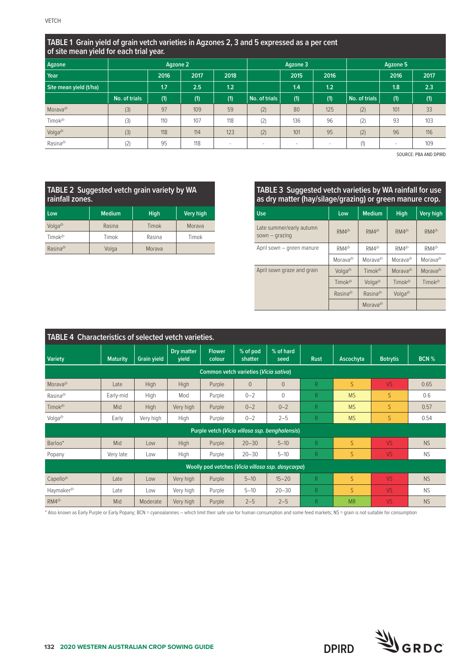#### **TABLE 1 Grain yield of grain vetch varieties in Agzones 2, 3 and 5 expressed as a per cent of site mean yield for each trial year.**

| Agzone                 |               | Agzone 2 |      |        | Agzone 3      |      |      | Agzone 5      |        |      |
|------------------------|---------------|----------|------|--------|---------------|------|------|---------------|--------|------|
| Year                   |               | 2016     | 2017 | 2018   |               | 2015 | 2016 |               | 2016   | 2017 |
| Site mean yield (t/ha) |               | 1.7      | 2.5  | 1.2    |               | 1.4  | 1.2  |               | 1.8    | 2.3  |
|                        | No. of trials | (1)      | (1)  | (1)    | No. of trials | (1)  | (1)  | No. of trials | (1)    | (1)  |
| Morava <sup>(b</sup>   | (3)           | 97       | 109  | 59     | (2)           | 80   | 125  | (2)           | 101    | 33   |
| Timok <sup>(b</sup>    | (3)           | 110      | 107  | 118    | (2)           | 136  | 96   | (2)           | 93     | 103  |
| Volga <sup>(b</sup>    | (3)           | 118      | 114  | 123    | (2)           | 101  | 95   | (2)           | 96     | 116  |
| Rasina <sup>(b</sup>   | (2)           | 95       | 118  | $\sim$ |               |      |      | (1)           | $\sim$ | 109  |

SOURCE: PBA AND DPIRD

| <b>TABLE 2 Suggested vetch grain variety by WA</b><br>rainfall zones. |               |             |           |  |  |  |  |  |  |
|-----------------------------------------------------------------------|---------------|-------------|-----------|--|--|--|--|--|--|
| Low                                                                   | <b>Medium</b> | <b>High</b> | Very high |  |  |  |  |  |  |
| Volga <sup>(b</sup>                                                   | Rasina        | Timok       | Morava    |  |  |  |  |  |  |
| Timok <sup>®</sup>                                                    | Timok         | Rasina      | Timok     |  |  |  |  |  |  |
| Rasingab                                                              | Volga         | Morava      |           |  |  |  |  |  |  |

#### **TABLE 3 Suggested vetch varieties by WA rainfall for use as dry matter (hay/silage/grazing) or green manure crop.**

| <b>Use</b>                                   | Low                  | <b>Medium</b>                          | <b>High</b>          | <b>Very high</b>      |
|----------------------------------------------|----------------------|----------------------------------------|----------------------|-----------------------|
| Late summer/early autumn<br>sown $-$ grazing | $RM4^{b}$            | $RM4^{b}$                              | $RM4^{(b)}$          | $RM4^{b}$             |
| April sown - green manure                    | $RM4^{b}$            | $RM4^{b}$                              | $RM4^{(b)}$          | $RM4^{b}$             |
|                                              | Morava <sup>®</sup>  | Morava <sup>(b</sup>                   | Morava <sup>(b</sup> | Morava <sup>®</sup>   |
| April sown graze and grain                   | Volga <sup>(b</sup>  | $Timok^{(b)}$                          | Morava <sup>(b</sup> | Morava <sup>(b)</sup> |
|                                              | $Timok^{(b)}$        | Volga <sup>®</sup>                     | $Timok^{(b)}$        | $Timok^{(b)}$         |
|                                              | Rasina <sup>(b</sup> | Rasingab                               | Volga <sup>(b</sup>  |                       |
|                                              |                      | Morava <sup><i><sup>th</sup></i></sup> |                      |                       |

| TABLE 4 Characteristics of selected vetch varieties. |                 |                    |                            |                         |                     |                                                |              |              |                 |                  |
|------------------------------------------------------|-----------------|--------------------|----------------------------|-------------------------|---------------------|------------------------------------------------|--------------|--------------|-----------------|------------------|
| <b>Variety</b>                                       | <b>Maturity</b> | <b>Grain vield</b> | <b>Dry matter</b><br>vield | <b>Flower</b><br>colour | % of pod<br>shatter | % of hard<br>seed                              | <b>Rust</b>  | Ascochyta    | <b>Botrytis</b> | BCN <sub>%</sub> |
| Common vetch varieties (Vicia sativa)                |                 |                    |                            |                         |                     |                                                |              |              |                 |                  |
| Morava <sup>(b</sup>                                 | Late            | High               | High                       | Purple                  | $\overline{0}$      | $\overline{0}$                                 | $\mathsf{R}$ | S            | <b>VS</b>       | 0.65             |
| Rasina <sup>®</sup>                                  | Early-mid       | High               | Mod                        | Purple                  | $0 - 2$             | $\mathbf 0$                                    | $\mathsf{R}$ | <b>MS</b>    | S               | 0.6              |
| Timok <sup>(b</sup>                                  | Mid             | High               | Very high                  | Purple                  | $0 - 2$             | $0 - 2$                                        | R            | <b>MS</b>    | S               | 0.57             |
| Volga <sup>(b</sup>                                  | Early           | Very high          | High                       | Purple                  | $0 - 2$             | $2 - 5$                                        | $\mathsf{R}$ | <b>MS</b>    | S.              | 0.54             |
|                                                      |                 |                    |                            |                         |                     | Purple vetch (Vicia villosa ssp. benghalensis) |              |              |                 |                  |
| Barloo*                                              | Mid             | Low                | High                       | Purple                  | $20 - 30$           | $5 - 10$                                       | $\mathsf{R}$ | S            | <b>VS</b>       | <b>NS</b>        |
| Popany                                               | Very late       | Low                | High                       | Purple                  | $20 - 30$           | $5 - 10$                                       | R            | S            | <b>VS</b>       | <b>NS</b>        |
| Woolly pod vetches (Vicia villosa ssp. dasycarpa)    |                 |                    |                            |                         |                     |                                                |              |              |                 |                  |
| $Capello^{(b)}$                                      | Late            | Low                | Very high                  | Purple                  | $5 - 10$            | $15 - 20$                                      | $\mathsf{R}$ | S            | V <sub>S</sub>  | <b>NS</b>        |
| Haymaker <sup>®</sup>                                | Late            | Low                | Very high                  | Purple                  | $5 - 10$            | $20 - 30$                                      | $\mathsf{R}$ | <sub>S</sub> | <b>VS</b>       | <b>NS</b>        |
| RM4 <sup>th</sup>                                    | Mid             | Moderate           | Very high                  | Purple                  | $2 - 5$             | $2 - 5$                                        | $\mathsf{R}$ | <b>MR</b>    | <b>VS</b>       | <b>NS</b>        |

\* Also known as Early Purple or Early Popany; BCN = cyanoalanines – which limit their safe use for human consumption and some feed markets; NS = grain is not suitable for consumption

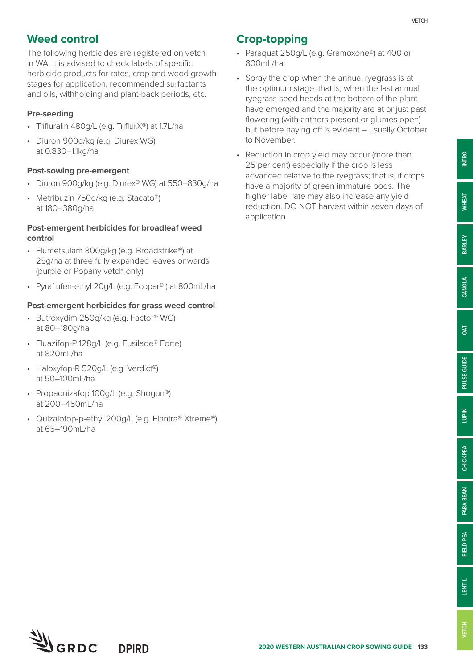# **Weed control**

The following herbicides are registered on vetch in WA. It is advised to check labels of specific herbicide products for rates, crop and weed growth stages for application, recommended surfactants and oils, withholding and plant-back periods, etc.

#### **Pre-seeding**

- Trifluralin 480g/L (e.g. TriflurX®) at 1.7L/ha
- Diuron 900g/kg (e.g. Diurex WG) at 0.830–1.1kg/ha

#### **Post-sowing pre-emergent**

- Diuron 900g/kg (e.g. Diurex® WG) at 550–830g/ha
- Metribuzin 750g/kg (e.g. Stacato®) at 180–380g/ha

#### **Post-emergent herbicides for broadleaf weed control**

- Flumetsulam 800g/kg (e.g. Broadstrike®) at 25g/ha at three fully expanded leaves onwards (purple or Popany vetch only)
- Pyraflufen-ethyl 20g/L (e.g. Ecopar® ) at 800mL/ha

#### **Post-emergent herbicides for grass weed control**

- Butroxydim 250g/kg (e.g. Factor® WG) at 80–180g/ha
- Fluazifop-P 128g/L (e.g. Fusilade® Forte) at 820mL/ha
- Haloxyfop-R 520q/L (e.g. Verdict®) at 50–100mL/ha
- Propaquizafop 100g/L (e.g. Shogun®) at 200–450mL/ha
- Quizalofop-p-ethyl 200g/L (e.g. Elantra® Xtreme®) at 65–190mL/ha

## **Crop-topping**

- Paraquat 250g/L (e.g. Gramoxone®) at 400 or 800mL/ha.
- Spray the crop when the annual ryegrass is at the optimum stage; that is, when the last annual ryegrass seed heads at the bottom of the plant have emerged and the majority are at or just past flowering (with anthers present or glumes open) but before haying off is evident – usually October to November.
- Reduction in crop yield may occur (more than 25 per cent) especially if the crop is less advanced relative to the ryegrass; that is, if crops have a majority of green immature pods. The higher label rate may also increase any yield reduction. DO NOT harvest within seven days of application

**LUPIN**

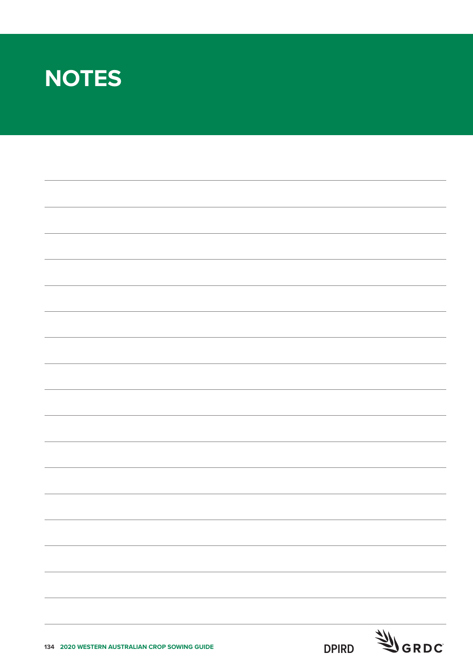

| 134 2020 WESTERN AUSTRALIAN CROP SOWING GUIDE | <b>DPIRD</b> | GRDC |
|-----------------------------------------------|--------------|------|
|                                               |              |      |
|                                               |              |      |
|                                               |              |      |
|                                               |              |      |
|                                               |              |      |
|                                               |              |      |
|                                               |              |      |
|                                               |              |      |
|                                               |              |      |
|                                               |              |      |
|                                               |              |      |

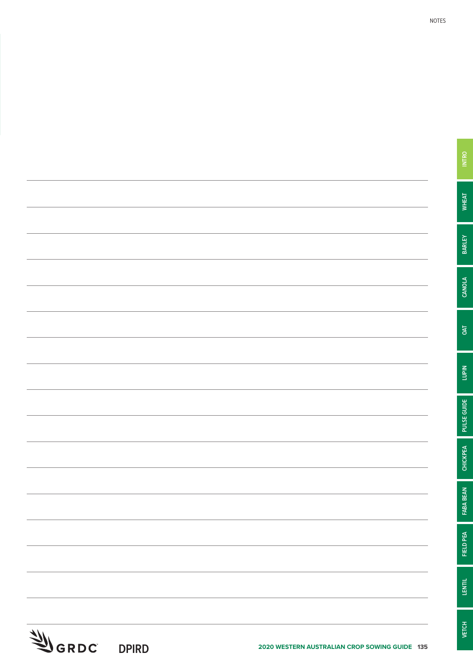**2020 WESTERN AUSTRALIAN CROP SOWING GUIDE** 135